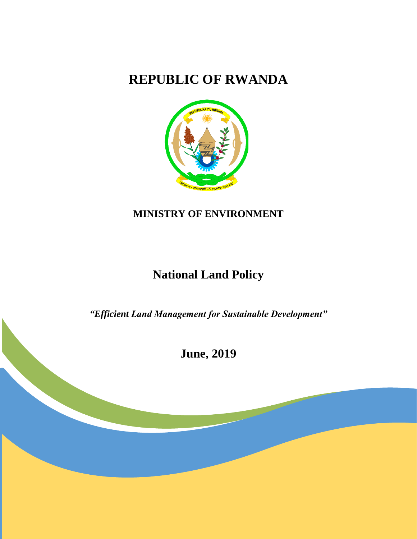# **REPUBLIC OF RWANDA**



## **MINISTRY OF ENVIRONMENT**

# **National Land Policy**

*"Efficient Land Management for Sustainable Development"* 

**June, 2019**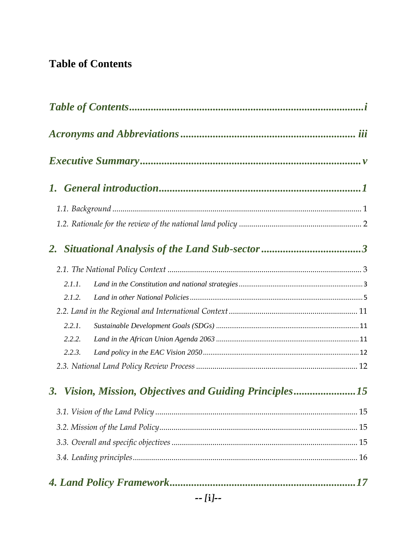## <span id="page-1-0"></span>**Table of Contents**

| 2.1.1.    |                                                      |  |
|-----------|------------------------------------------------------|--|
| 2.1.2.    |                                                      |  |
|           |                                                      |  |
| 2.2.1.    |                                                      |  |
| 2.2.2.    |                                                      |  |
| 2.2.3.    |                                                      |  |
|           |                                                      |  |
| <b>3.</b> | Vision, Mission, Objectives and Guiding Principles15 |  |
|           |                                                      |  |
|           |                                                      |  |
|           |                                                      |  |
|           |                                                      |  |
|           |                                                      |  |
|           | $-$ [i] $-$                                          |  |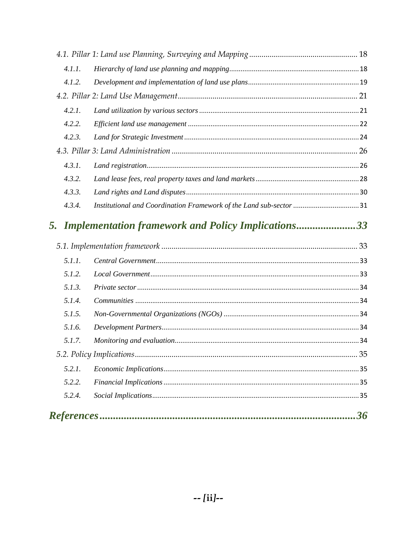| 4.1.1. |                                                                    |  |
|--------|--------------------------------------------------------------------|--|
| 4.1.2. |                                                                    |  |
|        |                                                                    |  |
| 4.2.1. |                                                                    |  |
| 4.2.2. |                                                                    |  |
| 4.2.3. |                                                                    |  |
|        |                                                                    |  |
| 4.3.1. |                                                                    |  |
| 4.3.2. |                                                                    |  |
| 4.3.3. |                                                                    |  |
| 4.3.4. | Institutional and Coordination Framework of the Land sub-sector 31 |  |
|        |                                                                    |  |
|        |                                                                    |  |
| 5.1.1. |                                                                    |  |
| 5.1.2. |                                                                    |  |
| 5.1.3. |                                                                    |  |
| 5.1.4. |                                                                    |  |
| 5.1.5. |                                                                    |  |
| 5.1.6. |                                                                    |  |
| 5.1.7. |                                                                    |  |
|        |                                                                    |  |
| 5.2.1. |                                                                    |  |
| 5.2.2. |                                                                    |  |
| 5.2.4. |                                                                    |  |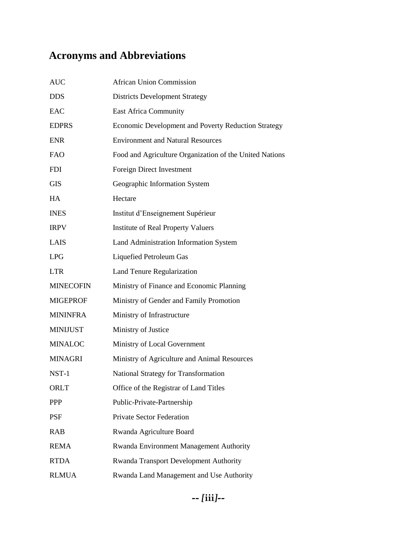# <span id="page-3-0"></span>**Acronyms and Abbreviations**

| <b>AUC</b>       | <b>African Union Commission</b>                            |
|------------------|------------------------------------------------------------|
| <b>DDS</b>       | <b>Districts Development Strategy</b>                      |
| EAC              | <b>East Africa Community</b>                               |
| <b>EDPRS</b>     | <b>Economic Development and Poverty Reduction Strategy</b> |
| <b>ENR</b>       | <b>Environment and Natural Resources</b>                   |
| <b>FAO</b>       | Food and Agriculture Organization of the United Nations    |
| <b>FDI</b>       | Foreign Direct Investment                                  |
| <b>GIS</b>       | Geographic Information System                              |
| HA               | Hectare                                                    |
| <b>INES</b>      | Institut d'Enseignement Supérieur                          |
| <b>IRPV</b>      | <b>Institute of Real Property Valuers</b>                  |
| LAIS             | Land Administration Information System                     |
| <b>LPG</b>       | <b>Liquefied Petroleum Gas</b>                             |
| <b>LTR</b>       | Land Tenure Regularization                                 |
| <b>MINECOFIN</b> | Ministry of Finance and Economic Planning                  |
| <b>MIGEPROF</b>  | Ministry of Gender and Family Promotion                    |
| <b>MININFRA</b>  | Ministry of Infrastructure                                 |
| <b>MINIJUST</b>  | Ministry of Justice                                        |
| <b>MINALOC</b>   | Ministry of Local Government                               |
| <b>MINAGRI</b>   | Ministry of Agriculture and Animal Resources               |
| NST-1            | National Strategy for Transformation                       |
| ORLT             | Office of the Registrar of Land Titles                     |
| <b>PPP</b>       | Public-Private-Partnership                                 |
| <b>PSF</b>       | <b>Private Sector Federation</b>                           |
| <b>RAB</b>       | Rwanda Agriculture Board                                   |
| <b>REMA</b>      | Rwanda Environment Management Authority                    |
| <b>RTDA</b>      | Rwanda Transport Development Authority                     |
| <b>RLMUA</b>     | Rwanda Land Management and Use Authority                   |
|                  |                                                            |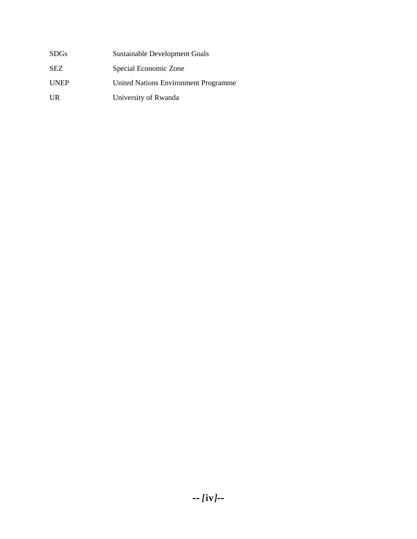| SDGs        | Sustainable Development Goals               |
|-------------|---------------------------------------------|
| SEZ         | Special Economic Zone                       |
| <b>UNEP</b> | <b>United Nations Environment Programme</b> |
| UR          | University of Rwanda                        |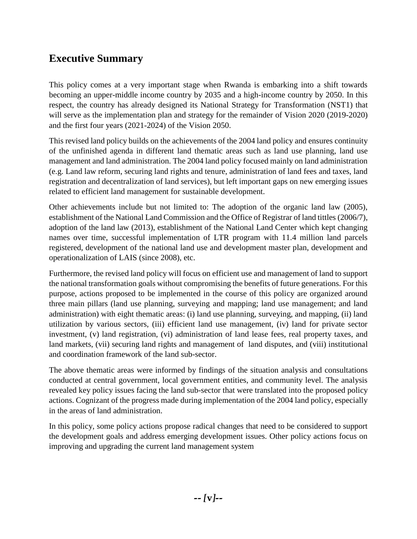## <span id="page-5-0"></span>**Executive Summary**

This policy comes at a very important stage when Rwanda is embarking into a shift towards becoming an upper-middle income country by 2035 and a high-income country by 2050. In this respect, the country has already designed its National Strategy for Transformation (NST1) that will serve as the implementation plan and strategy for the remainder of Vision 2020 (2019-2020) and the first four years (2021-2024) of the Vision 2050.

This revised land policy builds on the achievements of the 2004 land policy and ensures continuity of the unfinished agenda in different land thematic areas such as land use planning, land use management and land administration. The 2004 land policy focused mainly on land administration (e.g. Land law reform, securing land rights and tenure, administration of land fees and taxes, land registration and decentralization of land services), but left important gaps on new emerging issues related to efficient land management for sustainable development.

Other achievements include but not limited to: The adoption of the organic land law (2005), establishment of the National Land Commission and the Office of Registrar of land tittles (2006/7), adoption of the land law (2013), establishment of the National Land Center which kept changing names over time, successful implementation of LTR program with 11.4 million land parcels registered, development of the national land use and development master plan, development and operationalization of LAIS (since 2008), etc.

Furthermore, the revised land policy will focus on efficient use and management of land to support the national transformation goals without compromising the benefits of future generations. For this purpose, actions proposed to be implemented in the course of this policy are organized around three main pillars (land use planning, surveying and mapping; land use management; and land administration) with eight thematic areas: (i) land use planning, surveying, and mapping, (ii) land utilization by various sectors, (iii) efficient land use management, (iv) land for private sector investment, (v) land registration, (vi) administration of land lease fees, real property taxes, and land markets, (vii) securing land rights and management of land disputes, and (viii) institutional and coordination framework of the land sub-sector.

The above thematic areas were informed by findings of the situation analysis and consultations conducted at central government, local government entities, and community level. The analysis revealed key policy issues facing the land sub-sector that were translated into the proposed policy actions. Cognizant of the progress made during implementation of the 2004 land policy, especially in the areas of land administration.

In this policy, some policy actions propose radical changes that need to be considered to support the development goals and address emerging development issues. Other policy actions focus on improving and upgrading the current land management system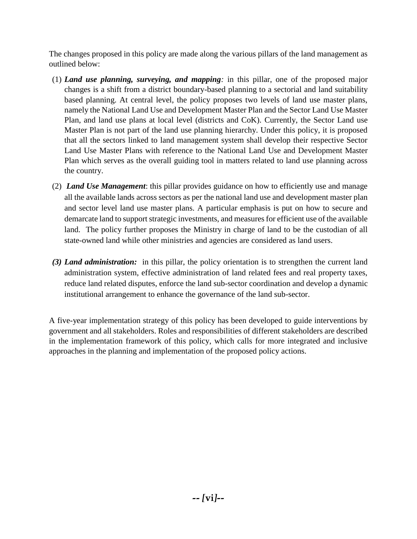The changes proposed in this policy are made along the various pillars of the land management as outlined below:

- (1) *Land use planning, surveying, and mapping:* in this pillar, one of the proposed major changes is a shift from a district boundary-based planning to a sectorial and land suitability based planning. At central level, the policy proposes two levels of land use master plans, namely the National Land Use and Development Master Plan and the Sector Land Use Master Plan, and land use plans at local level (districts and CoK). Currently, the Sector Land use Master Plan is not part of the land use planning hierarchy. Under this policy, it is proposed that all the sectors linked to land management system shall develop their respective Sector Land Use Master Plans with reference to the National Land Use and Development Master Plan which serves as the overall guiding tool in matters related to land use planning across the country.
- (2) *Land Use Management*: this pillar provides guidance on how to efficiently use and manage all the available lands across sectors as per the national land use and development master plan and sector level land use master plans. A particular emphasis is put on how to secure and demarcate land to support strategic investments, and measures for efficient use of the available land. The policy further proposes the Ministry in charge of land to be the custodian of all state-owned land while other ministries and agencies are considered as land users.
- *(3) Land administration:* in this pillar, the policy orientation is to strengthen the current land administration system, effective administration of land related fees and real property taxes, reduce land related disputes, enforce the land sub-sector coordination and develop a dynamic institutional arrangement to enhance the governance of the land sub-sector.

A five-year implementation strategy of this policy has been developed to guide interventions by government and all stakeholders. Roles and responsibilities of different stakeholders are described in the implementation framework of this policy, which calls for more integrated and inclusive approaches in the planning and implementation of the proposed policy actions.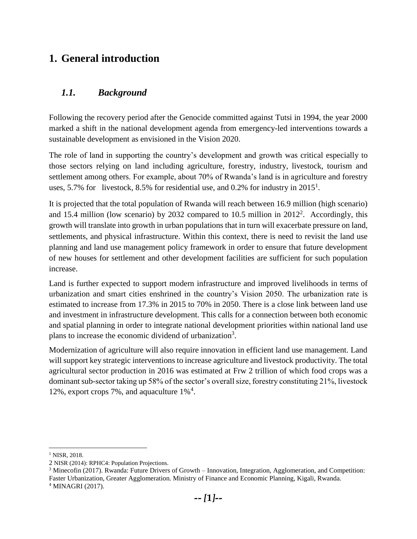## <span id="page-7-0"></span>**1. General introduction**

## <span id="page-7-1"></span>*1.1. Background*

Following the recovery period after the Genocide committed against Tutsi in 1994, the year 2000 marked a shift in the national development agenda from emergency-led interventions towards a sustainable development as envisioned in the Vision 2020.

The role of land in supporting the country's development and growth was critical especially to those sectors relying on land including agriculture, forestry, industry, livestock, tourism and settlement among others. For example, about 70% of Rwanda's land is in agriculture and forestry uses, 5.7% for livestock, 8.5% for residential use, and 0.2% for industry in  $2015<sup>1</sup>$ .

It is projected that the total population of Rwanda will reach between 16.9 million (high scenario) and 15.4 million (low scenario) by 2032 compared to 10.5 million in  $2012^2$ . Accordingly, this growth will translate into growth in urban populations that in turn will exacerbate pressure on land, settlements, and physical infrastructure. Within this context, there is need to revisit the land use planning and land use management policy framework in order to ensure that future development of new houses for settlement and other development facilities are sufficient for such population increase.

Land is further expected to support modern infrastructure and improved livelihoods in terms of urbanization and smart cities enshrined in the country's Vision 2050. The urbanization rate is estimated to increase from 17.3% in 2015 to 70% in 2050. There is a close link between land use and investment in infrastructure development. This calls for a connection between both economic and spatial planning in order to integrate national development priorities within national land use plans to increase the economic dividend of urbanization<sup>3</sup>.

Modernization of agriculture will also require innovation in efficient land use management. Land will support key strategic interventions to increase agriculture and livestock productivity. The total agricultural sector production in 2016 was estimated at Frw 2 trillion of which food crops was a dominant sub-sector taking up 58% of the sector's overall size, forestry constituting 21%, livestock 12%, export crops 7%, and aquaculture 1%<sup>4</sup> .

 $\overline{a}$ 

<sup>&</sup>lt;sup>1</sup> NISR, 2018.

<sup>2</sup> NISR (2014): RPHC4: Population Projections.

<sup>3</sup> Minecofin (2017). Rwanda: Future Drivers of Growth – Innovation, Integration, Agglomeration, and Competition: Faster Urbanization, Greater Agglomeration. Ministry of Finance and Economic Planning, Kigali, Rwanda.

<sup>4</sup> MINAGRI (2017).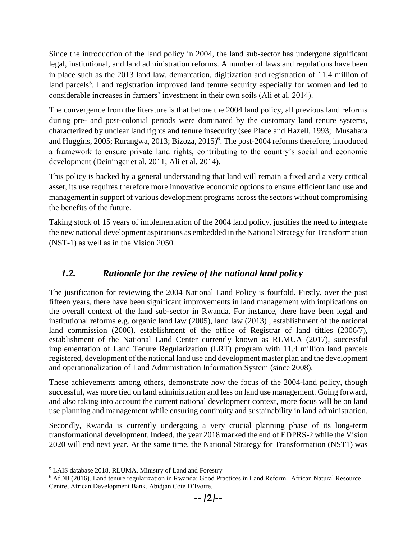Since the introduction of the land policy in 2004, the land sub-sector has undergone significant legal, institutional, and land administration reforms. A number of laws and regulations have been in place such as the 2013 land law, demarcation, digitization and registration of 11.4 million of land parcels<sup>5</sup>. Land registration improved land tenure security especially for women and led to considerable increases in farmers' investment in their own soils (Ali et al. 2014).

The convergence from the literature is that before the 2004 land policy, all previous land reforms during pre- and post-colonial periods were dominated by the customary land tenure systems, characterized by unclear land rights and tenure insecurity (see Place and Hazell, 1993; Musahara and Huggins, 2005; Rurangwa, 2013; Bizoza, 2015)<sup>6</sup>. The post-2004 reforms therefore, introduced a framework to ensure private land rights, contributing to the country's social and economic development (Deininger et al. 2011; Ali et al. 2014).

This policy is backed by a general understanding that land will remain a fixed and a very critical asset, its use requires therefore more innovative economic options to ensure efficient land use and management in support of various development programs across the sectors without compromising the benefits of the future.

Taking stock of 15 years of implementation of the 2004 land policy, justifies the need to integrate the new national development aspirations as embedded in the National Strategy for Transformation (NST-1) as well as in the Vision 2050.

## <span id="page-8-0"></span>*1.2. Rationale for the review of the national land policy*

The justification for reviewing the 2004 National Land Policy is fourfold. Firstly, over the past fifteen years, there have been significant improvements in land management with implications on the overall context of the land sub-sector in Rwanda. For instance, there have been legal and institutional reforms e.g. organic land law (2005), land law (2013) , establishment of the national land commission (2006), establishment of the office of Registrar of land tittles (2006/7), establishment of the National Land Center currently known as RLMUA (2017), successful implementation of Land Tenure Regularization (LRT) program with 11.4 million land parcels registered, development of the national land use and development master plan and the development and operationalization of Land Administration Information System (since 2008).

These achievements among others, demonstrate how the focus of the 2004-land policy, though successful, was more tied on land administration and less on land use management. Going forward, and also taking into account the current national development context, more focus will be on land use planning and management while ensuring continuity and sustainability in land administration.

Secondly, Rwanda is currently undergoing a very crucial planning phase of its long-term transformational development. Indeed, the year 2018 marked the end of EDPRS-2 while the Vision 2020 will end next year. At the same time, the National Strategy for Transformation (NST1) was

 $\overline{\phantom{a}}$ <sup>5</sup> LAIS database 2018, RLUMA, Ministry of Land and Forestry

<sup>6</sup> AfDB (2016). Land tenure regularization in Rwanda: Good Practices in Land Reform. African Natural Resource Centre, African Development Bank, Abidjan Cote D'Ivoire.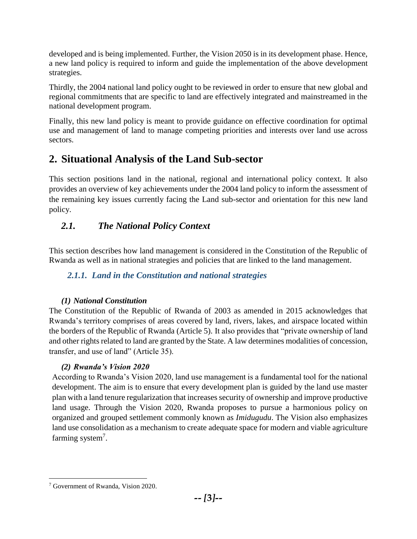developed and is being implemented. Further, the Vision 2050 is in its development phase. Hence, a new land policy is required to inform and guide the implementation of the above development strategies.

Thirdly, the 2004 national land policy ought to be reviewed in order to ensure that new global and regional commitments that are specific to land are effectively integrated and mainstreamed in the national development program.

Finally, this new land policy is meant to provide guidance on effective coordination for optimal use and management of land to manage competing priorities and interests over land use across sectors.

## <span id="page-9-0"></span>**2. Situational Analysis of the Land Sub-sector**

This section positions land in the national, regional and international policy context. It also provides an overview of key achievements under the 2004 land policy to inform the assessment of the remaining key issues currently facing the Land sub-sector and orientation for this new land policy.

## <span id="page-9-1"></span>*2.1. The National Policy Context*

This section describes how land management is considered in the Constitution of the Republic of Rwanda as well as in national strategies and policies that are linked to the land management.

## <span id="page-9-2"></span>*2.1.1. Land in the Constitution and national strategies*

## *(1) National Constitution*

The Constitution of the Republic of Rwanda of 2003 as amended in 2015 acknowledges that Rwanda's territory comprises of areas covered by land, rivers, lakes, and airspace located within the borders of the Republic of Rwanda (Article 5). It also provides that "private ownership of land and other rights related to land are granted by the State. A law determines modalities of concession, transfer, and use of land" (Article 35).

## *(2) Rwanda's Vision 2020*

According to Rwanda's Vision 2020, land use management is a fundamental tool for the national development. The aim is to ensure that every development plan is guided by the land use master plan with a land tenure regularization that increases security of ownership and improve productive land usage. Through the Vision 2020, Rwanda proposes to pursue a harmonious policy on organized and grouped settlement commonly known as *Imidugudu*. The Vision also emphasizes land use consolidation as a mechanism to create adequate space for modern and viable agriculture farming system<sup>7</sup>.

 $\overline{\phantom{a}}$ <sup>7</sup> Government of Rwanda, Vision 2020.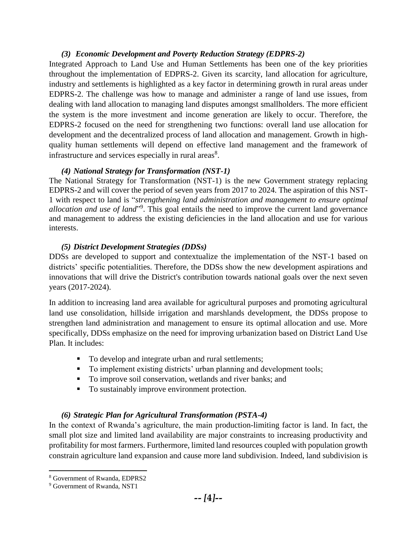#### *(3) Economic Development and Poverty Reduction Strategy (EDPRS-2)*

Integrated Approach to Land Use and Human Settlements has been one of the key priorities throughout the implementation of EDPRS-2. Given its scarcity, land allocation for agriculture, industry and settlements is highlighted as a key factor in determining growth in rural areas under EDPRS-2. The challenge was how to manage and administer a range of land use issues, from dealing with land allocation to managing land disputes amongst smallholders. The more efficient the system is the more investment and income generation are likely to occur. Therefore, the EDPRS-2 focused on the need for strengthening two functions: overall land use allocation for development and the decentralized process of land allocation and management. Growth in highquality human settlements will depend on effective land management and the framework of infrastructure and services especially in rural areas $8$ .

#### *(4) National Strategy for Transformation (NST-1)*

The National Strategy for Transformation (NST-1) is the new Government strategy replacing EDPRS-2 and will cover the period of seven years from 2017 to 2024. The aspiration of this NST-1 with respect to land is "*strengthening land administration and management to ensure optimal*  allocation and use of land<sup>"9</sup>. This goal entails the need to improve the current land governance and management to address the existing deficiencies in the land allocation and use for various interests.

#### *(5) District Development Strategies (DDSs)*

DDSs are developed to support and contextualize the implementation of the NST-1 based on districts' specific potentialities. Therefore, the DDSs show the new development aspirations and innovations that will drive the District's contribution towards national goals over the next seven years (2017-2024).

In addition to increasing land area available for agricultural purposes and promoting agricultural land use consolidation, hillside irrigation and marshlands development, the DDSs propose to strengthen land administration and management to ensure its optimal allocation and use. More specifically, DDSs emphasize on the need for improving urbanization based on District Land Use Plan. It includes:

- To develop and integrate urban and rural settlements;
- To implement existing districts' urban planning and development tools;
- To improve soil conservation, wetlands and river banks; and
- To sustainably improve environment protection.

#### *(6) Strategic Plan for Agricultural Transformation (PSTA-4)*

In the context of Rwanda's agriculture, the main production-limiting factor is land. In fact, the small plot size and limited land availability are major constraints to increasing productivity and profitability for most farmers. Furthermore, limited land resources coupled with population growth constrain agriculture land expansion and cause more land subdivision. Indeed, land subdivision is

 $\overline{a}$ <sup>8</sup> Government of Rwanda, EDPRS2

<sup>&</sup>lt;sup>9</sup> Government of Rwanda, NST1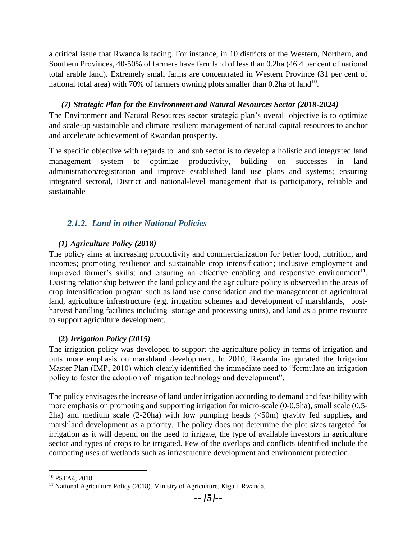a critical issue that Rwanda is facing. For instance, in 10 districts of the Western, Northern, and Southern Provinces, 40-50% of farmers have farmland of less than 0.2ha (46.4 per cent of national total arable land). Extremely small farms are concentrated in Western Province (31 per cent of national total area) with 70% of farmers owning plots smaller than  $0.2$ ha of land<sup>10</sup>.

#### *(7) Strategic Plan for the Environment and Natural Resources Sector (2018-2024)*

The Environment and Natural Resources sector strategic plan's overall objective is to optimize and scale-up sustainable and climate resilient management of natural capital resources to anchor and accelerate achievement of Rwandan prosperity.

The specific objective with regards to land sub sector is to develop a holistic and integrated land management system to optimize productivity, building on successes in land administration/registration and improve established land use plans and systems; ensuring integrated sectoral, District and national-level management that is participatory, reliable and sustainable

### <span id="page-11-0"></span>*2.1.2. Land in other National Policies*

#### *(1) Agriculture Policy (2018)*

The policy aims at increasing productivity and commercialization for better food, nutrition, and incomes; promoting resilience and sustainable crop intensification; inclusive employment and improved farmer's skills; and ensuring an effective enabling and responsive environment<sup>11</sup>. Existing relationship between the land policy and the agriculture policy is observed in the areas of crop intensification program such as land use consolidation and the management of agricultural land, agriculture infrastructure (e.g. irrigation schemes and development of marshlands, postharvest handling facilities including storage and processing units), and land as a prime resource to support agriculture development.

#### **(2)** *Irrigation Policy (2015)*

The irrigation policy was developed to support the agriculture policy in terms of irrigation and puts more emphasis on marshland development. In 2010, Rwanda inaugurated the Irrigation Master Plan (IMP, 2010) which clearly identified the immediate need to "formulate an irrigation policy to foster the adoption of irrigation technology and development".

The policy envisages the increase of land under irrigation according to demand and feasibility with more emphasis on promoting and supporting irrigation for micro-scale (0-0.5ha), small scale (0.5- 2ha) and medium scale  $(2{\text -}20)$  with low pumping heads  $({\text -}50)$  gravity fed supplies, and marshland development as a priority. The policy does not determine the plot sizes targeted for irrigation as it will depend on the need to irrigate, the type of available investors in agriculture sector and types of crops to be irrigated. Few of the overlaps and conflicts identified include the competing uses of wetlands such as infrastructure development and environment protection.

 $\overline{a}$ 

<sup>10</sup> PSTA4, 2018

<sup>&</sup>lt;sup>11</sup> National Agriculture Policy (2018). Ministry of Agriculture, Kigali, Rwanda.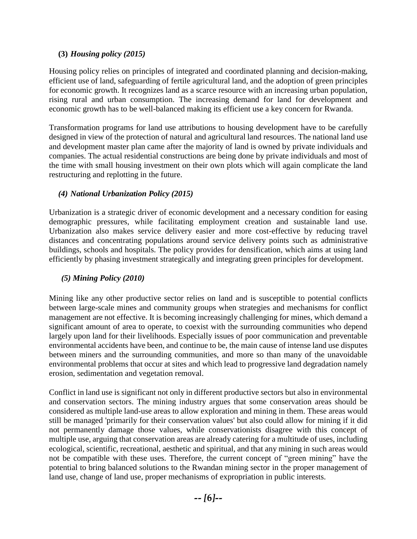#### **(3)** *Housing policy (2015)*

Housing policy relies on principles of integrated and coordinated planning and decision-making, efficient use of land, safeguarding of fertile agricultural land, and the adoption of green principles for economic growth. It recognizes land as a scarce resource with an increasing urban population, rising rural and urban consumption. The increasing demand for land for development and economic growth has to be well-balanced making its efficient use a key concern for Rwanda.

Transformation programs for land use attributions to housing development have to be carefully designed in view of the protection of natural and agricultural land resources. The national land use and development master plan came after the majority of land is owned by private individuals and companies. The actual residential constructions are being done by private individuals and most of the time with small housing investment on their own plots which will again complicate the land restructuring and replotting in the future.

#### *(4) National Urbanization Policy (2015)*

Urbanization is a strategic driver of economic development and a necessary condition for easing demographic pressures, while facilitating employment creation and sustainable land use. Urbanization also makes service delivery easier and more cost-effective by reducing travel distances and concentrating populations around service delivery points such as administrative buildings, schools and hospitals. The policy provides for densification, which aims at using land efficiently by phasing investment strategically and integrating green principles for development.

#### *(5) Mining Policy (2010)*

Mining like any other productive sector relies on land and is susceptible to potential conflicts between large-scale mines and community groups when strategies and mechanisms for conflict management are not effective. It is becoming increasingly challenging for mines, which demand a significant amount of area to operate, to coexist with the surrounding communities who depend largely upon land for their livelihoods. Especially issues of poor communication and preventable environmental accidents have been, and continue to be, the main cause of intense land use disputes between miners and the surrounding communities, and more so than many of the unavoidable environmental problems that occur at sites and which lead to progressive land degradation namely erosion, sedimentation and vegetation removal.

Conflict in land use is significant not only in different productive sectors but also in environmental and conservation sectors. The mining industry argues that some conservation areas should be considered as multiple land-use areas to allow exploration and mining in them. These areas would still be managed 'primarily for their conservation values' but also could allow for mining if it did not permanently damage those values, while conservationists disagree with this concept of multiple use, arguing that conservation areas are already catering for a multitude of uses, including ecological, scientific, recreational, aesthetic and spiritual, and that any mining in such areas would not be compatible with these uses. Therefore, the current concept of "green mining" have the potential to bring balanced solutions to the Rwandan mining sector in the proper management of land use, change of land use, proper mechanisms of expropriation in public interests.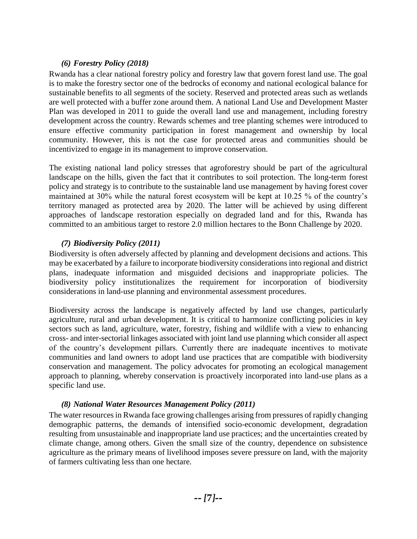#### *(6) Forestry Policy (2018)*

Rwanda has a clear national forestry policy and forestry law that govern forest land use. The goal is to make the forestry sector one of the bedrocks of economy and national ecological balance for sustainable benefits to all segments of the society. Reserved and protected areas such as wetlands are well protected with a buffer zone around them. A national Land Use and Development Master Plan was developed in 2011 to guide the overall land use and management, including forestry development across the country. Rewards schemes and tree planting schemes were introduced to ensure effective community participation in forest management and ownership by local community. However, this is not the case for protected areas and communities should be incentivized to engage in its management to improve conservation.

The existing national land policy stresses that agroforestry should be part of the agricultural landscape on the hills, given the fact that it contributes to soil protection. The long-term forest policy and strategy is to contribute to the sustainable land use management by having forest cover maintained at 30% while the natural forest ecosystem will be kept at 10.25 % of the country's territory managed as protected area by 2020. The latter will be achieved by using different approaches of landscape restoration especially on degraded land and for this, Rwanda has committed to an ambitious target to restore 2.0 million hectares to the Bonn Challenge by 2020.

#### *(7) Biodiversity Policy (2011)*

Biodiversity is often adversely affected by planning and development decisions and actions. This may be exacerbated by a failure to incorporate biodiversity considerations into regional and district plans, inadequate information and misguided decisions and inappropriate policies. The biodiversity policy institutionalizes the requirement for incorporation of biodiversity considerations in land-use planning and environmental assessment procedures.

Biodiversity across the landscape is negatively affected by land use changes, particularly agriculture, rural and urban development. It is critical to harmonize conflicting policies in key sectors such as land, agriculture, water, forestry, fishing and wildlife with a view to enhancing cross- and inter-sectorial linkages associated with joint land use planning which consider all aspect of the country's development pillars. Currently there are inadequate incentives to motivate communities and land owners to adopt land use practices that are compatible with biodiversity conservation and management. The policy advocates for promoting an ecological management approach to planning, whereby conservation is proactively incorporated into land-use plans as a specific land use.

#### *(8) National Water Resources Management Policy (2011)*

The water resources in Rwanda face growing challenges arising from pressures of rapidly changing demographic patterns, the demands of intensified socio-economic development, degradation resulting from unsustainable and inappropriate land use practices; and the uncertainties created by climate change, among others. Given the small size of the country, dependence on subsistence agriculture as the primary means of livelihood imposes severe pressure on land, with the majority of farmers cultivating less than one hectare.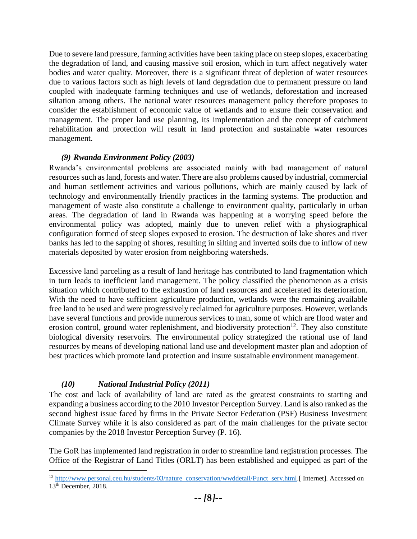Due to severe land pressure, farming activities have been taking place on steep slopes, exacerbating the degradation of land, and causing massive soil erosion, which in turn affect negatively water bodies and water quality. Moreover, there is a significant threat of depletion of water resources due to various factors such as high levels of land degradation due to permanent pressure on land coupled with inadequate farming techniques and use of wetlands, deforestation and increased siltation among others. The national water resources management policy therefore proposes to consider the establishment of economic value of wetlands and to ensure their conservation and management. The proper land use planning, its implementation and the concept of catchment rehabilitation and protection will result in land protection and sustainable water resources management.

#### *(9) Rwanda Environment Policy (2003)*

Rwanda's environmental problems are associated mainly with bad management of natural resources such as land, forests and water. There are also problems caused by industrial, commercial and human settlement activities and various pollutions, which are mainly caused by lack of technology and environmentally friendly practices in the farming systems. The production and management of waste also constitute a challenge to environment quality, particularly in urban areas. The degradation of land in Rwanda was happening at a worrying speed before the environmental policy was adopted, mainly due to uneven relief with a physiographical configuration formed of steep slopes exposed to erosion. The destruction of lake shores and river banks has led to the sapping of shores, resulting in silting and inverted soils due to inflow of new materials deposited by water erosion from neighboring watersheds.

Excessive land parceling as a result of land heritage has contributed to land fragmentation which in turn leads to inefficient land management. The policy classified the phenomenon as a crisis situation which contributed to the exhaustion of land resources and accelerated its deterioration. With the need to have sufficient agriculture production, wetlands were the remaining available free land to be used and were progressively reclaimed for agriculture purposes. However, wetlands have several functions and provide numerous services to man, some of which are flood water and erosion control, ground water replenishment, and biodiversity protection<sup>12</sup>. They also constitute biological diversity reservoirs. The environmental policy strategized the rational use of land resources by means of developing national land use and development master plan and adoption of best practices which promote land protection and insure sustainable environment management.

#### *(10) National Industrial Policy (2011)*

 $\overline{a}$ 

The cost and lack of availability of land are rated as the greatest constraints to starting and expanding a business according to the 2010 Investor Perception Survey. Land is also ranked as the second highest issue faced by firms in the Private Sector Federation (PSF) Business Investment Climate Survey while it is also considered as part of the main challenges for the private sector companies by the 2018 Investor Perception Survey (P. 16).

The GoR has implemented land registration in order to streamline land registration processes. The Office of the Registrar of Land Titles (ORLT) has been established and equipped as part of the

<sup>&</sup>lt;sup>12</sup> [http://www.personal.ceu.hu/students/03/nature\\_conservation/wwddetail/Funct\\_serv.html.\[](http://www.personal.ceu.hu/students/03/nature_conservation/wwddetail/Funct_serv.html) Internet]. Accessed on 13<sup>th</sup> December, 2018.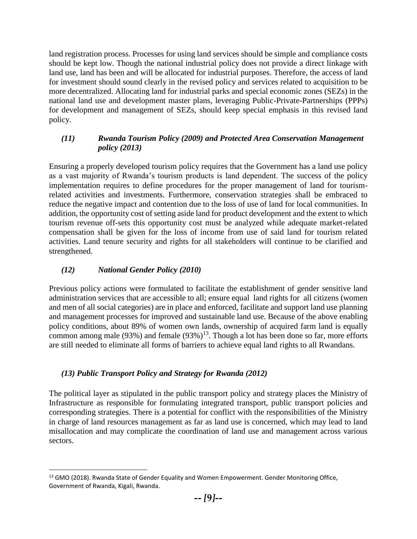land registration process. Processes for using land services should be simple and compliance costs should be kept low. Though the national industrial policy does not provide a direct linkage with land use, land has been and will be allocated for industrial purposes. Therefore, the access of land for investment should sound clearly in the revised policy and services related to acquisition to be more decentralized. Allocating land for industrial parks and special economic zones (SEZs) in the national land use and development master plans, leveraging Public-Private-Partnerships (PPPs) for development and management of SEZs, should keep special emphasis in this revised land policy.

#### *(11) Rwanda Tourism Policy (2009) and Protected Area Conservation Management policy (2013)*

Ensuring a properly developed tourism policy requires that the Government has a land use policy as a vast majority of Rwanda's tourism products is land dependent. The success of the policy implementation requires to define procedures for the proper management of land for tourismrelated activities and investments. Furthermore, conservation strategies shall be embraced to reduce the negative impact and contention due to the loss of use of land for local communities. In addition, the opportunity cost of setting aside land for product development and the extent to which tourism revenue off-sets this opportunity cost must be analyzed while adequate market-related compensation shall be given for the loss of income from use of said land for tourism related activities. Land tenure security and rights for all stakeholders will continue to be clarified and strengthened.

#### *(12) National Gender Policy (2010)*

Previous policy actions were formulated to facilitate the establishment of gender sensitive land administration services that are accessible to all; ensure equal land rights for all citizens (women and men of all social categories) are in place and enforced, facilitate and support land use planning and management processes for improved and sustainable land use. Because of the above enabling policy conditions, about 89% of women own lands, ownership of acquired farm land is equally common among male (93%) and female  $(93\%)^{13}$ . Though a lot has been done so far, more efforts are still needed to eliminate all forms of barriers to achieve equal land rights to all Rwandans.

### *(13) Public Transport Policy and Strategy for Rwanda (2012)*

The political layer as stipulated in the public transport policy and strategy places the Ministry of Infrastructure as responsible for formulating integrated transport, public transport policies and corresponding strategies. There is a potential for conflict with the responsibilities of the Ministry in charge of land resources management as far as land use is concerned, which may lead to land misallocation and may complicate the coordination of land use and management across various sectors.

 $\overline{\phantom{a}}$ <sup>13</sup> GMO (2018). Rwanda State of Gender Equality and Women Empowerment. Gender Monitoring Office, Government of Rwanda, Kigali, Rwanda.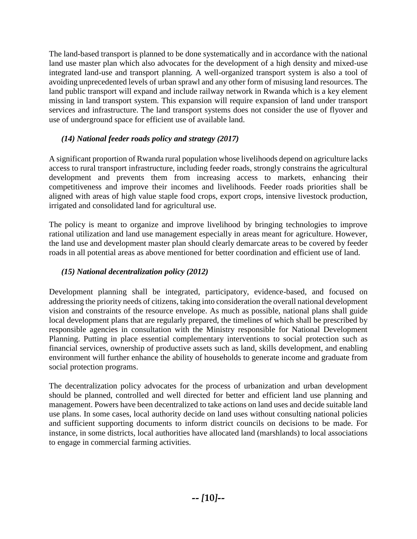The land-based transport is planned to be done systematically and in accordance with the national land use master plan which also advocates for the development of a high density and mixed-use integrated land-use and transport planning. A well-organized transport system is also a tool of avoiding unprecedented levels of urban sprawl and any other form of misusing land resources. The land public transport will expand and include railway network in Rwanda which is a key element missing in land transport system. This expansion will require expansion of land under transport services and infrastructure. The land transport systems does not consider the use of flyover and use of underground space for efficient use of available land.

#### *(14) National feeder roads policy and strategy (2017)*

A significant proportion of Rwanda rural population whose livelihoods depend on agriculture lacks access to rural transport infrastructure, including feeder roads, strongly constrains the agricultural development and prevents them from increasing access to markets, enhancing their competitiveness and improve their incomes and livelihoods. Feeder roads priorities shall be aligned with areas of high value staple food crops, export crops, intensive livestock production, irrigated and consolidated land for agricultural use.

The policy is meant to organize and improve livelihood by bringing technologies to improve rational utilization and land use management especially in areas meant for agriculture. However, the land use and development master plan should clearly demarcate areas to be covered by feeder roads in all potential areas as above mentioned for better coordination and efficient use of land.

#### *(15) National decentralization policy (2012)*

Development planning shall be integrated, participatory, evidence-based, and focused on addressing the priority needs of citizens, taking into consideration the overall national development vision and constraints of the resource envelope. As much as possible, national plans shall guide local development plans that are regularly prepared, the timelines of which shall be prescribed by responsible agencies in consultation with the Ministry responsible for National Development Planning. Putting in place essential complementary interventions to social protection such as financial services, ownership of productive assets such as land, skills development, and enabling environment will further enhance the ability of households to generate income and graduate from social protection programs.

The decentralization policy advocates for the process of urbanization and urban development should be planned, controlled and well directed for better and efficient land use planning and management. Powers have been decentralized to take actions on land uses and decide suitable land use plans. In some cases, local authority decide on land uses without consulting national policies and sufficient supporting documents to inform district councils on decisions to be made. For instance, in some districts, local authorities have allocated land (marshlands) to local associations to engage in commercial farming activities.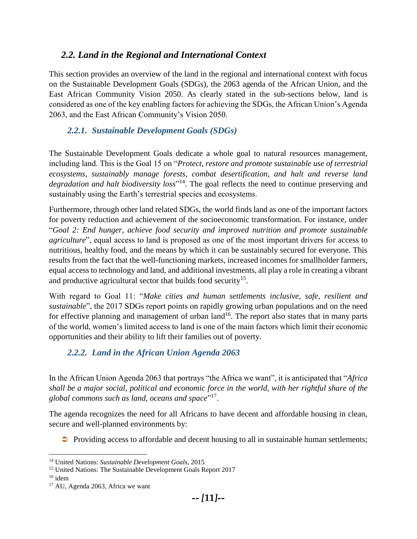## <span id="page-17-0"></span>*2.2. Land in the Regional and International Context*

This section provides an overview of the land in the regional and international context with focus on the Sustainable Development Goals (SDGs), the 2063 agenda of the African Union, and the East African Community Vision 2050. As clearly stated in the sub-sections below, land is considered as one of the key enabling factors for achieving the SDGs, the African Union's Agenda 2063, and the East African Community's Vision 2050.

## <span id="page-17-1"></span>*2.2.1. Sustainable Development Goals (SDGs)*

The Sustainable Development Goals dedicate a whole goal to natural resources management, including land. This is the Goal 15 on "*Protect, restore and promote sustainable use of terrestrial ecosystems, sustainably manage forests, combat desertification, and halt and reverse land degradation and halt biodiversity loss*" <sup>14</sup>. The goal reflects the need to continue preserving and sustainably using the Earth's terrestrial species and ecosystems.

Furthermore, through other land related SDGs, the world finds land as one of the important factors for poverty reduction and achievement of the socioeconomic transformation. For instance, under "*Goal 2: End hunger, achieve food security and improved nutrition and promote sustainable agriculture*", equal access to land is proposed as one of the most important drivers for access to nutritious, healthy food, and the means by which it can be sustainably secured for everyone. This results from the fact that the well-functioning markets, increased incomes for smallholder farmers, equal access to technology and land, and additional investments, all play a role in creating a vibrant and productive agricultural sector that builds food security<sup>15</sup>.

With regard to Goal 11: "*Make cities and human settlements inclusive, safe, resilient and sustainable*", the 2017 SDGs report points on rapidly growing urban populations and on the need for effective planning and management of urban land<sup>16</sup>. The report also states that in many parts of the world, women's limited access to land is one of the main factors which limit their economic opportunities and their ability to lift their families out of poverty.

## <span id="page-17-2"></span>*2.2.2. Land in the African Union Agenda 2063*

In the African Union Agenda 2063 that portrays "the Africa we want", it is anticipated that "*Africa shall be a major social, political and economic force in the world, with her rightful share of the*  global commons such as land, oceans and space"<sup>17</sup>.

The agenda recognizes the need for all Africans to have decent and affordable housing in clean, secure and well-planned environments by:

 $\supset$  Providing access to affordable and decent housing to all in sustainable human settlements;

 $\overline{\phantom{a}}$ <sup>14</sup> United Nations: *Sustainable Development Goals*, 2015

<sup>&</sup>lt;sup>15</sup> United Nations: The Sustainable Development Goals Report 2017

 $16$  idem

<sup>&</sup>lt;sup>17</sup> AU, Agenda 2063, Africa we want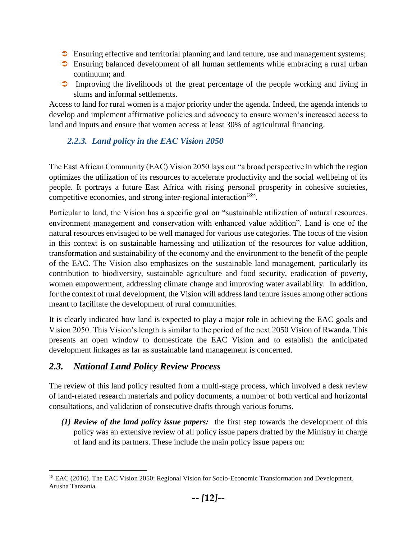- **Ensuring effective and territorial planning and land tenure, use and management systems;**
- Ensuring balanced development of all human settlements while embracing a rural urban continuum; and
- **Improving the livelihoods of the great percentage of the people working and living in** slums and informal settlements.

Access to land for rural women is a major priority under the agenda. Indeed, the agenda intends to develop and implement affirmative policies and advocacy to ensure women's increased access to land and inputs and ensure that women access at least 30% of agricultural financing.

## <span id="page-18-0"></span>*2.2.3. Land policy in the EAC Vision 2050*

The East African Community (EAC) Vision 2050 lays out "a broad perspective in which the region optimizes the utilization of its resources to accelerate productivity and the social wellbeing of its people. It portrays a future East Africa with rising personal prosperity in cohesive societies, competitive economies, and strong inter-regional interaction<sup>18</sup>".

Particular to land, the Vision has a specific goal on "sustainable utilization of natural resources, environment management and conservation with enhanced value addition". Land is one of the natural resources envisaged to be well managed for various use categories. The focus of the vision in this context is on sustainable harnessing and utilization of the resources for value addition, transformation and sustainability of the economy and the environment to the benefit of the people of the EAC. The Vision also emphasizes on the sustainable land management, particularly its contribution to biodiversity, sustainable agriculture and food security, eradication of poverty, women empowerment, addressing climate change and improving water availability. In addition, for the context of rural development, the Vision will address land tenure issues among other actions meant to facilitate the development of rural communities.

It is clearly indicated how land is expected to play a major role in achieving the EAC goals and Vision 2050. This Vision's length is similar to the period of the next 2050 Vision of Rwanda. This presents an open window to domesticate the EAC Vision and to establish the anticipated development linkages as far as sustainable land management is concerned.

## <span id="page-18-1"></span>*2.3. National Land Policy Review Process*

 $\overline{a}$ 

The review of this land policy resulted from a multi-stage process, which involved a desk review of land-related research materials and policy documents, a number of both vertical and horizontal consultations, and validation of consecutive drafts through various forums.

*(1) Review of the land policy issue papers:* the first step towards the development of this policy was an extensive review of all policy issue papers drafted by the Ministry in charge of land and its partners. These include the main policy issue papers on:

<sup>&</sup>lt;sup>18</sup> EAC (2016). The EAC Vision 2050: Regional Vision for Socio-Economic Transformation and Development. Arusha Tanzania.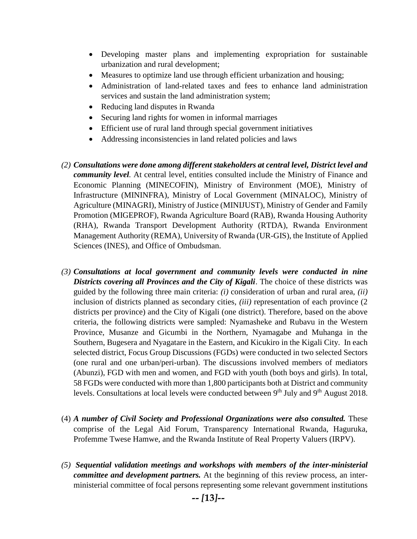- Developing master plans and implementing expropriation for sustainable urbanization and rural development;
- Measures to optimize land use through efficient urbanization and housing;
- Administration of land-related taxes and fees to enhance land administration services and sustain the land administration system;
- Reducing land disputes in Rwanda
- Securing land rights for women in informal marriages
- Efficient use of rural land through special government initiatives
- Addressing inconsistencies in land related policies and laws
- *(2) Consultations were done among different stakeholders at central level, District level and community level.* At central level, entities consulted include the Ministry of Finance and Economic Planning (MINECOFIN), Ministry of Environment (MOE), Ministry of Infrastructure (MININFRA), Ministry of Local Government (MINALOC), Ministry of Agriculture (MINAGRI), Ministry of Justice (MINIJUST), Ministry of Gender and Family Promotion (MIGEPROF), Rwanda Agriculture Board (RAB), Rwanda Housing Authority (RHA), Rwanda Transport Development Authority (RTDA), Rwanda Environment Management Authority (REMA), University of Rwanda (UR-GIS), the Institute of Applied Sciences (INES), and Office of Ombudsman.
- *(3) Consultations at local government and community levels were conducted in nine Districts covering all Provinces and the City of Kigali*. The choice of these districts was guided by the following three main criteria: *(i)* consideration of urban and rural area, *(ii)* inclusion of districts planned as secondary cities, *(iii)* representation of each province (2 districts per province) and the City of Kigali (one district). Therefore, based on the above criteria, the following districts were sampled: Nyamasheke and Rubavu in the Western Province, Musanze and Gicumbi in the Northern, Nyamagabe and Muhanga in the Southern, Bugesera and Nyagatare in the Eastern, and Kicukiro in the Kigali City. In each selected district, Focus Group Discussions (FGDs) were conducted in two selected Sectors (one rural and one urban/peri-urban). The discussions involved members of mediators (Abunzi), FGD with men and women, and FGD with youth (both boys and girls). In total, 58 FGDs were conducted with more than 1,800 participants both at District and community levels. Consultations at local levels were conducted between  $9<sup>th</sup>$  July and  $9<sup>th</sup>$  August 2018.
- (4) *A number of Civil Society and Professional Organizations were also consulted.* These comprise of the Legal Aid Forum, Transparency International Rwanda, Haguruka, Profemme Twese Hamwe, and the Rwanda Institute of Real Property Valuers (IRPV).
- *(5) Sequential validation meetings and workshops with members of the inter-ministerial committee and development partners.* At the beginning of this review process, an interministerial committee of focal persons representing some relevant government institutions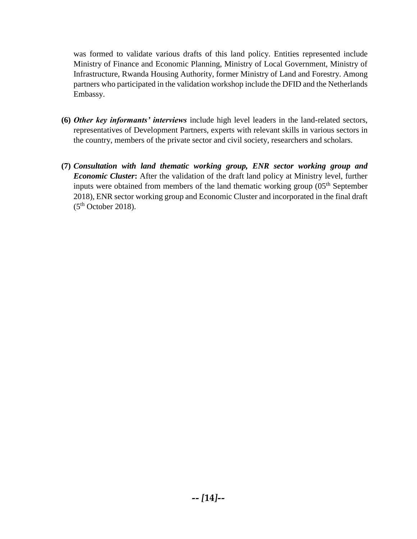was formed to validate various drafts of this land policy. Entities represented include Ministry of Finance and Economic Planning, Ministry of Local Government, Ministry of Infrastructure, Rwanda Housing Authority, former Ministry of Land and Forestry. Among partners who participated in the validation workshop include the DFID and the Netherlands Embassy.

- **(6)** *Other key informants' interviews* include high level leaders in the land-related sectors, representatives of Development Partners, experts with relevant skills in various sectors in the country, members of the private sector and civil society, researchers and scholars.
- **(7)** *Consultation with land thematic working group, ENR sector working group and Economic Cluster***:** After the validation of the draft land policy at Ministry level, further inputs were obtained from members of the land thematic working group  $(0.5<sup>th</sup>$  September 2018), ENR sector working group and Economic Cluster and incorporated in the final draft  $(5<sup>th</sup> October 2018).$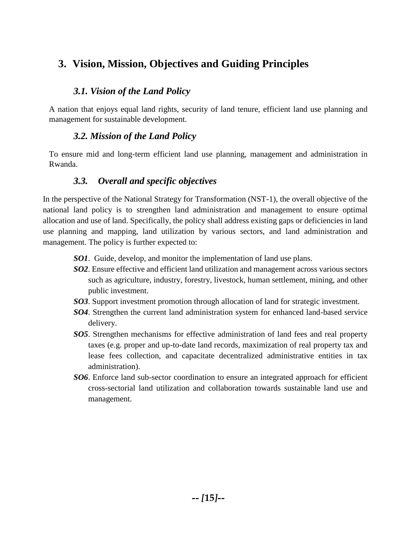## <span id="page-21-0"></span>**3. Vision, Mission, Objectives and Guiding Principles**

## *3.1. Vision of the Land Policy*

<span id="page-21-1"></span>A nation that enjoys equal land rights, security of land tenure, efficient land use planning and management for sustainable development.

## *3.2. Mission of the Land Policy*

<span id="page-21-2"></span>To ensure mid and long-term efficient land use planning, management and administration in Rwanda.

## *3.3. Overall and specific objectives*

<span id="page-21-3"></span>In the perspective of the National Strategy for Transformation (NST-1), the overall objective of the national land policy is to strengthen land administration and management to ensure optimal allocation and use of land. Specifically, the policy shall address existing gaps or deficiencies in land use planning and mapping, land utilization by various sectors, and land administration and management. The policy is further expected to:

- *SO1*. Guide, develop, and monitor the implementation of land use plans.
- *SO2*. Ensure effective and efficient land utilization and management across various sectors such as agriculture, industry, forestry, livestock, human settlement, mining, and other public investment.
- *SO3*. Support investment promotion through allocation of land for strategic investment.
- *SO4*. Strengthen the current land administration system for enhanced land-based service delivery.
- *SO5*. Strengthen mechanisms for effective administration of land fees and real property taxes (e.g. proper and up-to-date land records, maximization of real property tax and lease fees collection, and capacitate decentralized administrative entities in tax administration).
- *SO6*. Enforce land sub-sector coordination to ensure an integrated approach for efficient cross-sectorial land utilization and collaboration towards sustainable land use and management.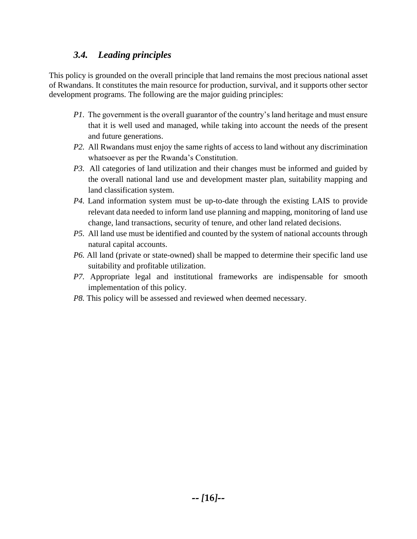## *3.4. Leading principles*

<span id="page-22-0"></span>This policy is grounded on the overall principle that land remains the most precious national asset of Rwandans. It constitutes the main resource for production, survival, and it supports other sector development programs. The following are the major guiding principles:

- *P1.* The government is the overall guarantor of the country's land heritage and must ensure that it is well used and managed, while taking into account the needs of the present and future generations.
- *P2.* All Rwandans must enjoy the same rights of access to land without any discrimination whatsoever as per the Rwanda's Constitution.
- *P3.* All categories of land utilization and their changes must be informed and guided by the overall national land use and development master plan, suitability mapping and land classification system.
- *P4.* Land information system must be up-to-date through the existing LAIS to provide relevant data needed to inform land use planning and mapping, monitoring of land use change, land transactions, security of tenure, and other land related decisions.
- *P5.* All land use must be identified and counted by the system of national accounts through natural capital accounts.
- *P6.* All land (private or state-owned) shall be mapped to determine their specific land use suitability and profitable utilization.
- *P7.* Appropriate legal and institutional frameworks are indispensable for smooth implementation of this policy.
- *P8.* This policy will be assessed and reviewed when deemed necessary.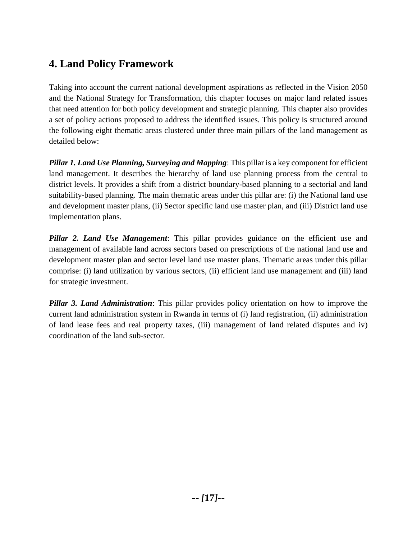## <span id="page-23-0"></span>**4. Land Policy Framework**

Taking into account the current national development aspirations as reflected in the Vision 2050 and the National Strategy for Transformation, this chapter focuses on major land related issues that need attention for both policy development and strategic planning. This chapter also provides a set of policy actions proposed to address the identified issues. This policy is structured around the following eight thematic areas clustered under three main pillars of the land management as detailed below:

*Pillar 1. Land Use Planning, Surveying and Mapping*: This pillar is a key component for efficient land management. It describes the hierarchy of land use planning process from the central to district levels. It provides a shift from a district boundary-based planning to a sectorial and land suitability-based planning. The main thematic areas under this pillar are: (i) the National land use and development master plans, (ii) Sector specific land use master plan, and (iii) District land use implementation plans.

*Pillar 2. Land Use Management*: This pillar provides guidance on the efficient use and management of available land across sectors based on prescriptions of the national land use and development master plan and sector level land use master plans. Thematic areas under this pillar comprise: (i) land utilization by various sectors, (ii) efficient land use management and (iii) land for strategic investment.

*Pillar 3. Land Administration*: This pillar provides policy orientation on how to improve the current land administration system in Rwanda in terms of (i) land registration, (ii) administration of land lease fees and real property taxes, (iii) management of land related disputes and iv) coordination of the land sub-sector.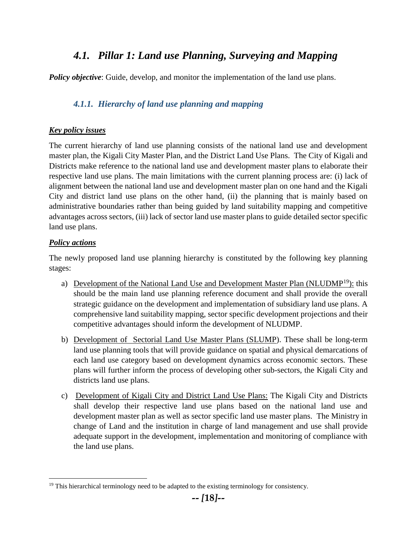## *4.1. Pillar 1: Land use Planning, Surveying and Mapping*

<span id="page-24-0"></span>*Policy objective*: Guide, develop, and monitor the implementation of the land use plans.

### <span id="page-24-1"></span>*4.1.1. Hierarchy of land use planning and mapping*

#### *Key policy issues*

The current hierarchy of land use planning consists of the national land use and development master plan, the Kigali City Master Plan, and the District Land Use Plans. The City of Kigali and Districts make reference to the national land use and development master plans to elaborate their respective land use plans. The main limitations with the current planning process are: (i) lack of alignment between the national land use and development master plan on one hand and the Kigali City and district land use plans on the other hand, (ii) the planning that is mainly based on administrative boundaries rather than being guided by land suitability mapping and competitive advantages across sectors, (iii) lack of sector land use master plans to guide detailed sector specific land use plans.

#### *Policy actions*

 $\overline{\phantom{a}}$ 

The newly proposed land use planning hierarchy is constituted by the following key planning stages:

- a) Development of the National Land Use and Development Master Plan (NLUDMP<sup>19</sup>): this should be the main land use planning reference document and shall provide the overall strategic guidance on the development and implementation of subsidiary land use plans. A comprehensive land suitability mapping, sector specific development projections and their competitive advantages should inform the development of NLUDMP.
- b) Development of Sectorial Land Use Master Plans (SLUMP). These shall be long-term land use planning tools that will provide guidance on spatial and physical demarcations of each land use category based on development dynamics across economic sectors. These plans will further inform the process of developing other sub-sectors, the Kigali City and districts land use plans.
- c) Development of Kigali City and District Land Use Plans: The Kigali City and Districts shall develop their respective land use plans based on the national land use and development master plan as well as sector specific land use master plans. The Ministry in change of Land and the institution in charge of land management and use shall provide adequate support in the development, implementation and monitoring of compliance with the land use plans.

<sup>&</sup>lt;sup>19</sup> This hierarchical terminology need to be adapted to the existing terminology for consistency.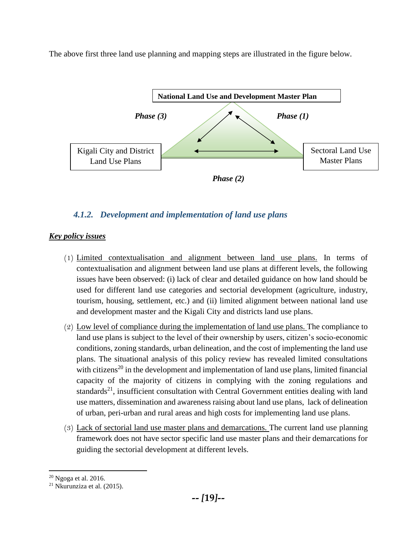The above first three land use planning and mapping steps are illustrated in the figure below.



## <span id="page-25-0"></span>*4.1.2. Development and implementation of land use plans*

### *Key policy issues*

- (1) Limited contextualisation and alignment between land use plans. In terms of contextualisation and alignment between land use plans at different levels, the following issues have been observed: (i) lack of clear and detailed guidance on how land should be used for different land use categories and sectorial development (agriculture, industry, tourism, housing, settlement, etc.) and (ii) limited alignment between national land use and development master and the Kigali City and districts land use plans.
- (2) Low level of compliance during the implementation of land use plans. The compliance to land use plans is subject to the level of their ownership by users, citizen's socio-economic conditions, zoning standards, urban delineation, and the cost of implementing the land use plans. The situational analysis of this policy review has revealed limited consultations with citizens<sup>20</sup> in the development and implementation of land use plans, limited financial capacity of the majority of citizens in complying with the zoning regulations and standards<sup>21</sup>, insufficient consultation with Central Government entities dealing with land use matters, dissemination and awareness raising about land use plans, lack of delineation of urban, peri-urban and rural areas and high costs for implementing land use plans.
- (3) Lack of sectorial land use master plans and demarcations. The current land use planning framework does not have sector specific land use master plans and their demarcations for guiding the sectorial development at different levels.

 $\overline{a}$ 

<sup>20</sup> Ngoga et al. 2016.

<sup>21</sup> Nkurunziza et al. (2015).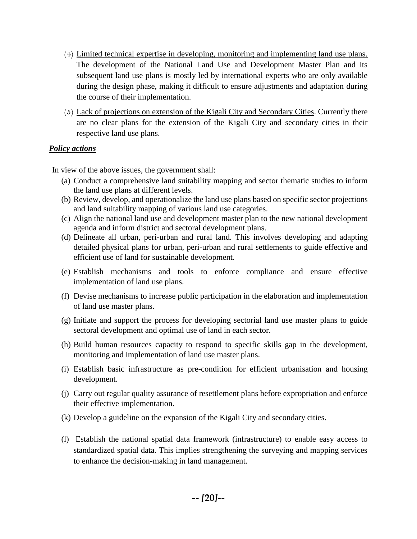- (4) Limited technical expertise in developing, monitoring and implementing land use plans. The development of the National Land Use and Development Master Plan and its subsequent land use plans is mostly led by international experts who are only available during the design phase, making it difficult to ensure adjustments and adaptation during the course of their implementation.
- (5) Lack of projections on extension of the Kigali City and Secondary Cities. Currently there are no clear plans for the extension of the Kigali City and secondary cities in their respective land use plans.

#### *Policy actions*

In view of the above issues, the government shall:

- (a) Conduct a comprehensive land suitability mapping and sector thematic studies to inform the land use plans at different levels.
- (b) Review, develop, and operationalize the land use plans based on specific sector projections and land suitability mapping of various land use categories.
- (c) Align the national land use and development master plan to the new national development agenda and inform district and sectoral development plans.
- (d) Delineate all urban, peri-urban and rural land. This involves developing and adapting detailed physical plans for urban, peri-urban and rural settlements to guide effective and efficient use of land for sustainable development.
- (e) Establish mechanisms and tools to enforce compliance and ensure effective implementation of land use plans.
- (f) Devise mechanisms to increase public participation in the elaboration and implementation of land use master plans.
- (g) Initiate and support the process for developing sectorial land use master plans to guide sectoral development and optimal use of land in each sector.
- (h) Build human resources capacity to respond to specific skills gap in the development, monitoring and implementation of land use master plans.
- (i) Establish basic infrastructure as pre-condition for efficient urbanisation and housing development.
- (j) Carry out regular quality assurance of resettlement plans before expropriation and enforce their effective implementation.
- (k) Develop a guideline on the expansion of the Kigali City and secondary cities.
- (l) Establish the national spatial data framework (infrastructure) to enable easy access to standardized spatial data. This implies strengthening the surveying and mapping services to enhance the decision-making in land management.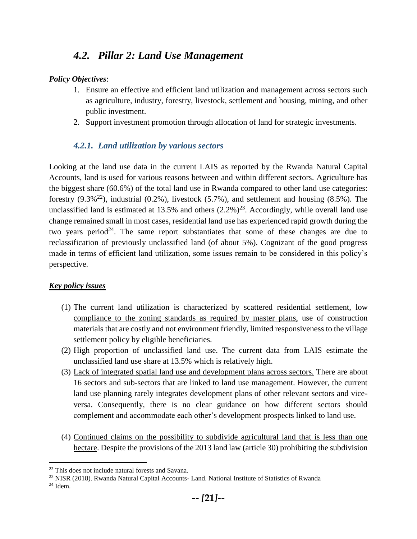## *4.2. Pillar 2: Land Use Management*

#### <span id="page-27-0"></span>*Policy Objectives*:

- 1. Ensure an effective and efficient land utilization and management across sectors such as agriculture, industry, forestry, livestock, settlement and housing, mining, and other public investment.
- 2. Support investment promotion through allocation of land for strategic investments.

## *4.2.1. Land utilization by various sectors*

<span id="page-27-1"></span>Looking at the land use data in the current LAIS as reported by the Rwanda Natural Capital Accounts, land is used for various reasons between and within different sectors. Agriculture has the biggest share (60.6%) of the total land use in Rwanda compared to other land use categories: forestry  $(9.3\frac{1}{2})$ , industrial  $(0.2\%)$ , livestock  $(5.7\%)$ , and settlement and housing  $(8.5\%)$ . The unclassified land is estimated at 13.5% and others  $(2.2\%)^{23}$ . Accordingly, while overall land use change remained small in most cases, residential land use has experienced rapid growth during the two years period<sup>24</sup>. The same report substantiates that some of these changes are due to reclassification of previously unclassified land (of about 5%). Cognizant of the good progress made in terms of efficient land utilization, some issues remain to be considered in this policy's perspective.

#### *Key policy issues*

- (1) The current land utilization is characterized by scattered residential settlement, low compliance to the zoning standards as required by master plans, use of construction materials that are costly and not environment friendly, limited responsiveness to the village settlement policy by eligible beneficiaries.
- (2) High proportion of unclassified land use. The current data from LAIS estimate the unclassified land use share at 13.5% which is relatively high.
- (3) Lack of integrated spatial land use and development plans across sectors. There are about 16 sectors and sub-sectors that are linked to land use management. However, the current land use planning rarely integrates development plans of other relevant sectors and viceversa. Consequently, there is no clear guidance on how different sectors should complement and accommodate each other's development prospects linked to land use.
- (4) Continued claims on the possibility to subdivide agricultural land that is less than one hectare. Despite the provisions of the 2013 land law (article 30) prohibiting the subdivision

 $\overline{\phantom{a}}$ 

<sup>22</sup> This does not include natural forests and Savana.

<sup>&</sup>lt;sup>23</sup> NISR (2018). Rwanda Natural Capital Accounts- Land. National Institute of Statistics of Rwanda

 $24$  Idem.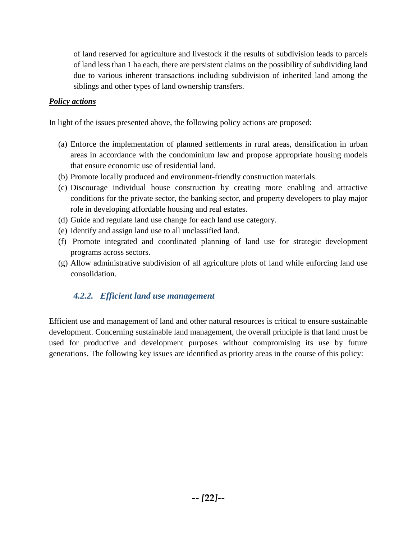of land reserved for agriculture and livestock if the results of subdivision leads to parcels of land less than 1 ha each, there are persistent claims on the possibility of subdividing land due to various inherent transactions including subdivision of inherited land among the siblings and other types of land ownership transfers.

#### *Policy actions*

In light of the issues presented above, the following policy actions are proposed:

- (a) Enforce the implementation of planned settlements in rural areas, densification in urban areas in accordance with the condominium law and propose appropriate housing models that ensure economic use of residential land.
- (b) Promote locally produced and environment-friendly construction materials.
- (c) Discourage individual house construction by creating more enabling and attractive conditions for the private sector, the banking sector, and property developers to play major role in developing affordable housing and real estates.
- (d) Guide and regulate land use change for each land use category.
- (e) Identify and assign land use to all unclassified land.
- (f) Promote integrated and coordinated planning of land use for strategic development programs across sectors.
- (g) Allow administrative subdivision of all agriculture plots of land while enforcing land use consolidation.

### <span id="page-28-0"></span>*4.2.2. Efficient land use management*

Efficient use and management of land and other natural resources is critical to ensure sustainable development. Concerning sustainable land management, the overall principle is that land must be used for productive and development purposes without compromising its use by future generations. The following key issues are identified as priority areas in the course of this policy: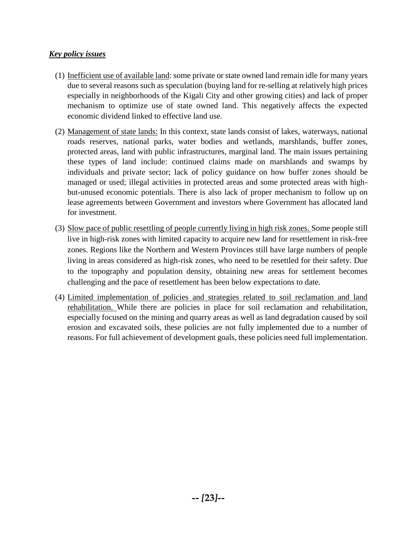#### *Key policy issues*

- (1) Inefficient use of available land: some private or state owned land remain idle for many years due to several reasons such as speculation (buying land for re-selling at relatively high prices especially in neighborhoods of the Kigali City and other growing cities) and lack of proper mechanism to optimize use of state owned land. This negatively affects the expected economic dividend linked to effective land use.
- (2) Management of state lands: In this context, state lands consist of lakes, waterways, national roads reserves, national parks, water bodies and wetlands, marshlands, buffer zones, protected areas, land with public infrastructures, marginal land. The main issues pertaining these types of land include: continued claims made on marshlands and swamps by individuals and private sector; lack of policy guidance on how buffer zones should be managed or used; illegal activities in protected areas and some protected areas with highbut-unused economic potentials. There is also lack of proper mechanism to follow up on lease agreements between Government and investors where Government has allocated land for investment.
- (3) Slow pace of public resettling of people currently living in high risk zones. Some people still live in high-risk zones with limited capacity to acquire new land for resettlement in risk-free zones. Regions like the Northern and Western Provinces still have large numbers of people living in areas considered as high-risk zones, who need to be resettled for their safety. Due to the topography and population density, obtaining new areas for settlement becomes challenging and the pace of resettlement has been below expectations to date.
- (4) Limited implementation of policies and strategies related to soil reclamation and land rehabilitation. While there are policies in place for soil reclamation and rehabilitation, especially focused on the mining and quarry areas as well as land degradation caused by soil erosion and excavated soils, these policies are not fully implemented due to a number of reasons. For full achievement of development goals, these policies need full implementation.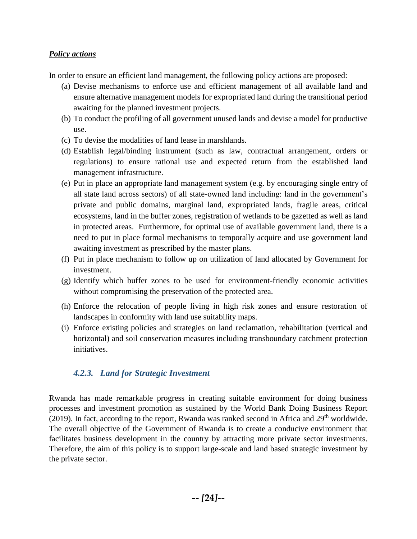#### *Policy actions*

In order to ensure an efficient land management, the following policy actions are proposed:

- (a) Devise mechanisms to enforce use and efficient management of all available land and ensure alternative management models for expropriated land during the transitional period awaiting for the planned investment projects.
- (b) To conduct the profiling of all government unused lands and devise a model for productive use.
- (c) To devise the modalities of land lease in marshlands.
- (d) Establish legal/binding instrument (such as law, contractual arrangement, orders or regulations) to ensure rational use and expected return from the established land management infrastructure.
- (e) Put in place an appropriate land management system (e.g. by encouraging single entry of all state land across sectors) of all state-owned land including: land in the government's private and public domains, marginal land, expropriated lands, fragile areas, critical ecosystems, land in the buffer zones, registration of wetlands to be gazetted as well as land in protected areas. Furthermore, for optimal use of available government land, there is a need to put in place formal mechanisms to temporally acquire and use government land awaiting investment as prescribed by the master plans.
- (f) Put in place mechanism to follow up on utilization of land allocated by Government for investment.
- (g) Identify which buffer zones to be used for environment-friendly economic activities without compromising the preservation of the protected area.
- (h) Enforce the relocation of people living in high risk zones and ensure restoration of landscapes in conformity with land use suitability maps.
- (i) Enforce existing policies and strategies on land reclamation, rehabilitation (vertical and horizontal) and soil conservation measures including transboundary catchment protection initiatives.

### <span id="page-30-0"></span>*4.2.3. Land for Strategic Investment*

Rwanda has made remarkable progress in creating suitable environment for doing business processes and investment promotion as sustained by the World Bank Doing Business Report (2019). In fact, according to the report, Rwanda was ranked second in Africa and  $29<sup>th</sup>$  worldwide. The overall objective of the Government of Rwanda is to create a conducive environment that facilitates business development in the country by attracting more private sector investments. Therefore, the aim of this policy is to support large-scale and land based strategic investment by the private sector.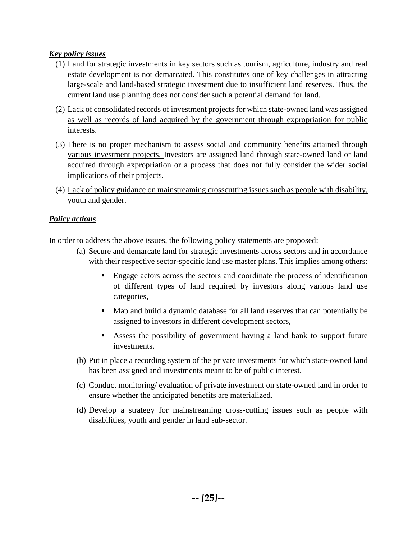#### *Key policy issues*

- (1) Land for strategic investments in key sectors such as tourism, agriculture, industry and real estate development is not demarcated. This constitutes one of key challenges in attracting large-scale and land-based strategic investment due to insufficient land reserves. Thus, the current land use planning does not consider such a potential demand for land.
- (2) Lack of consolidated records of investment projects for which state-owned land was assigned as well as records of land acquired by the government through expropriation for public interests.
- (3) There is no proper mechanism to assess social and community benefits attained through various investment projects. Investors are assigned land through state-owned land or land acquired through expropriation or a process that does not fully consider the wider social implications of their projects.
- (4) Lack of policy guidance on mainstreaming crosscutting issues such as people with disability, youth and gender.

#### *Policy actions*

In order to address the above issues, the following policy statements are proposed:

- (a) Secure and demarcate land for strategic investments across sectors and in accordance with their respective sector-specific land use master plans. This implies among others:
	- **Engage actors across the sectors and coordinate the process of identification** of different types of land required by investors along various land use categories,
	- Map and build a dynamic database for all land reserves that can potentially be assigned to investors in different development sectors,
	- Assess the possibility of government having a land bank to support future investments.
- (b) Put in place a recording system of the private investments for which state-owned land has been assigned and investments meant to be of public interest.
- (c) Conduct monitoring/ evaluation of private investment on state-owned land in order to ensure whether the anticipated benefits are materialized.
- (d) Develop a strategy for mainstreaming cross-cutting issues such as people with disabilities, youth and gender in land sub-sector.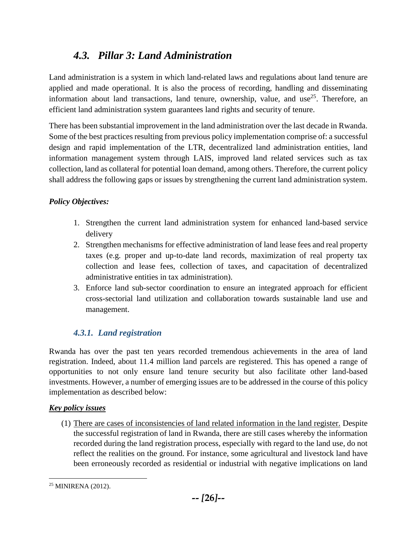## *4.3. Pillar 3: Land Administration*

<span id="page-32-0"></span>Land administration is a system in which land-related laws and regulations about land tenure are applied and made operational. It is also the process of recording, handling and disseminating information about land transactions, land tenure, ownership, value, and use<sup>25</sup>. Therefore, an efficient land administration system guarantees land rights and security of tenure.

There has been substantial improvement in the land administration over the last decade in Rwanda. Some of the best practices resulting from previous policy implementation comprise of: a successful design and rapid implementation of the LTR, decentralized land administration entities, land information management system through LAIS, improved land related services such as tax collection, land as collateral for potential loan demand, among others. Therefore, the current policy shall address the following gaps or issues by strengthening the current land administration system.

## *Policy Objectives:*

- 1. Strengthen the current land administration system for enhanced land-based service delivery
- 2. Strengthen mechanisms for effective administration of land lease fees and real property taxes (e.g. proper and up-to-date land records, maximization of real property tax collection and lease fees, collection of taxes, and capacitation of decentralized administrative entities in tax administration).
- 3. Enforce land sub-sector coordination to ensure an integrated approach for efficient cross-sectorial land utilization and collaboration towards sustainable land use and management.

## *4.3.1. Land registration*

<span id="page-32-1"></span>Rwanda has over the past ten years recorded tremendous achievements in the area of land registration. Indeed, about 11.4 million land parcels are registered. This has opened a range of opportunities to not only ensure land tenure security but also facilitate other land-based investments. However, a number of emerging issues are to be addressed in the course of this policy implementation as described below:

### *Key policy issues*

(1) There are cases of inconsistencies of land related information in the land register. Despite the successful registration of land in Rwanda, there are still cases whereby the information recorded during the land registration process, especially with regard to the land use, do not reflect the realities on the ground. For instance, some agricultural and livestock land have been erroneously recorded as residential or industrial with negative implications on land

 $\overline{\phantom{a}}$ <sup>25</sup> MINIRENA (2012).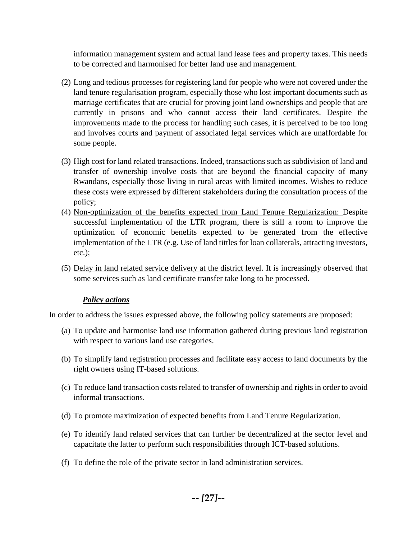information management system and actual land lease fees and property taxes. This needs to be corrected and harmonised for better land use and management.

- (2) Long and tedious processes for registering land for people who were not covered under the land tenure regularisation program, especially those who lost important documents such as marriage certificates that are crucial for proving joint land ownerships and people that are currently in prisons and who cannot access their land certificates. Despite the improvements made to the process for handling such cases, it is perceived to be too long and involves courts and payment of associated legal services which are unaffordable for some people.
- (3) High cost for land related transactions. Indeed, transactions such as subdivision of land and transfer of ownership involve costs that are beyond the financial capacity of many Rwandans, especially those living in rural areas with limited incomes. Wishes to reduce these costs were expressed by different stakeholders during the consultation process of the policy;
- (4) Non-optimization of the benefits expected from Land Tenure Regularization: Despite successful implementation of the LTR program, there is still a room to improve the optimization of economic benefits expected to be generated from the effective implementation of the LTR (e.g. Use of land tittles for loan collaterals, attracting investors, etc.);
- (5) Delay in land related service delivery at the district level. It is increasingly observed that some services such as land certificate transfer take long to be processed.

#### *Policy actions*

In order to address the issues expressed above, the following policy statements are proposed:

- (a) To update and harmonise land use information gathered during previous land registration with respect to various land use categories.
- (b) To simplify land registration processes and facilitate easy access to land documents by the right owners using IT-based solutions.
- (c) To reduce land transaction costs related to transfer of ownership and rights in order to avoid informal transactions.
- (d) To promote maximization of expected benefits from Land Tenure Regularization.
- (e) To identify land related services that can further be decentralized at the sector level and capacitate the latter to perform such responsibilities through ICT-based solutions.
- (f) To define the role of the private sector in land administration services.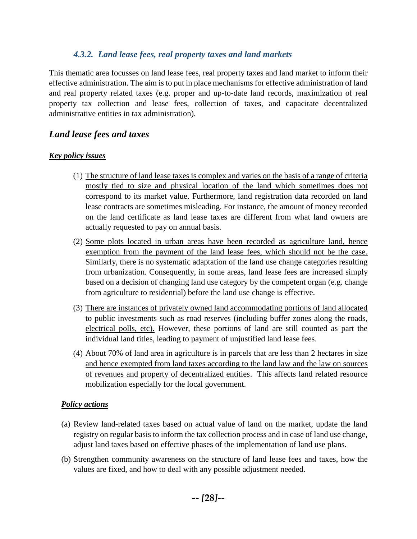#### *4.3.2. Land lease fees, real property taxes and land markets*

<span id="page-34-0"></span>This thematic area focusses on land lease fees, real property taxes and land market to inform their effective administration. The aim is to put in place mechanisms for effective administration of land and real property related taxes (e.g. proper and up-to-date land records, maximization of real property tax collection and lease fees, collection of taxes, and capacitate decentralized administrative entities in tax administration).

## *Land lease fees and taxes*

#### *Key policy issues*

- (1) The structure of land lease taxes is complex and varies on the basis of a range of criteria mostly tied to size and physical location of the land which sometimes does not correspond to its market value. Furthermore, land registration data recorded on land lease contracts are sometimes misleading. For instance, the amount of money recorded on the land certificate as land lease taxes are different from what land owners are actually requested to pay on annual basis.
- (2) Some plots located in urban areas have been recorded as agriculture land, hence exemption from the payment of the land lease fees, which should not be the case. Similarly, there is no systematic adaptation of the land use change categories resulting from urbanization. Consequently, in some areas, land lease fees are increased simply based on a decision of changing land use category by the competent organ (e.g. change from agriculture to residential) before the land use change is effective.
- (3) There are instances of privately owned land accommodating portions of land allocated to public investments such as road reserves (including buffer zones along the roads, electrical polls, etc). However, these portions of land are still counted as part the individual land titles, leading to payment of unjustified land lease fees.
- (4) About 70% of land area in agriculture is in parcels that are less than 2 hectares in size and hence exempted from land taxes according to the land law and the law on sources of revenues and property of decentralized entities. This affects land related resource mobilization especially for the local government.

#### *Policy actions*

- (a) Review land-related taxes based on actual value of land on the market, update the land registry on regular basis to inform the tax collection process and in case of land use change, adjust land taxes based on effective phases of the implementation of land use plans.
- (b) Strengthen community awareness on the structure of land lease fees and taxes, how the values are fixed, and how to deal with any possible adjustment needed.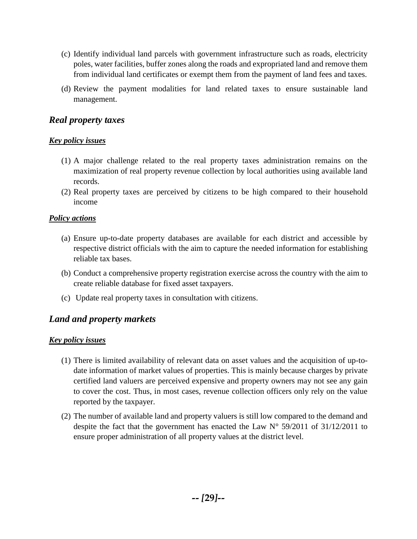- (c) Identify individual land parcels with government infrastructure such as roads, electricity poles, water facilities, buffer zones along the roads and expropriated land and remove them from individual land certificates or exempt them from the payment of land fees and taxes.
- (d) Review the payment modalities for land related taxes to ensure sustainable land management.

## *Real property taxes*

#### *Key policy issues*

- (1) A major challenge related to the real property taxes administration remains on the maximization of real property revenue collection by local authorities using available land records.
- (2) Real property taxes are perceived by citizens to be high compared to their household income

#### *Policy actions*

- (a) Ensure up-to-date property databases are available for each district and accessible by respective district officials with the aim to capture the needed information for establishing reliable tax bases.
- (b) Conduct a comprehensive property registration exercise across the country with the aim to create reliable database for fixed asset taxpayers.
- (c) Update real property taxes in consultation with citizens.

## *Land and property markets*

#### *Key policy issues*

- (1) There is limited availability of relevant data on asset values and the acquisition of up-todate information of market values of properties. This is mainly because charges by private certified land valuers are perceived expensive and property owners may not see any gain to cover the cost. Thus, in most cases, revenue collection officers only rely on the value reported by the taxpayer.
- (2) The number of available land and property valuers is still low compared to the demand and despite the fact that the government has enacted the Law N° 59/2011 of 31/12/2011 to ensure proper administration of all property values at the district level.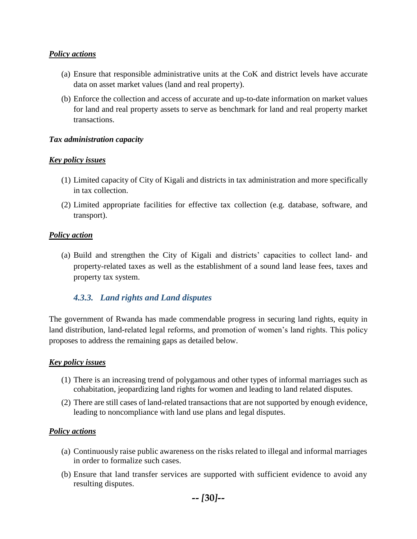#### *Policy actions*

- (a) Ensure that responsible administrative units at the CoK and district levels have accurate data on asset market values (land and real property).
- (b) Enforce the collection and access of accurate and up-to-date information on market values for land and real property assets to serve as benchmark for land and real property market transactions.

#### *Tax administration capacity*

#### *Key policy issues*

- (1) Limited capacity of City of Kigali and districts in tax administration and more specifically in tax collection.
- (2) Limited appropriate facilities for effective tax collection (e.g. database, software, and transport).

#### *Policy action*

(a) Build and strengthen the City of Kigali and districts' capacities to collect land- and property-related taxes as well as the establishment of a sound land lease fees, taxes and property tax system.

#### <span id="page-36-0"></span>*4.3.3. Land rights and Land disputes*

The government of Rwanda has made commendable progress in securing land rights, equity in land distribution, land-related legal reforms, and promotion of women's land rights. This policy proposes to address the remaining gaps as detailed below.

#### *Key policy issues*

- (1) There is an increasing trend of polygamous and other types of informal marriages such as cohabitation, jeopardizing land rights for women and leading to land related disputes.
- (2) There are still cases of land-related transactions that are not supported by enough evidence, leading to noncompliance with land use plans and legal disputes.

#### *Policy actions*

- (a) Continuously raise public awareness on the risks related to illegal and informal marriages in order to formalize such cases.
- (b) Ensure that land transfer services are supported with sufficient evidence to avoid any resulting disputes.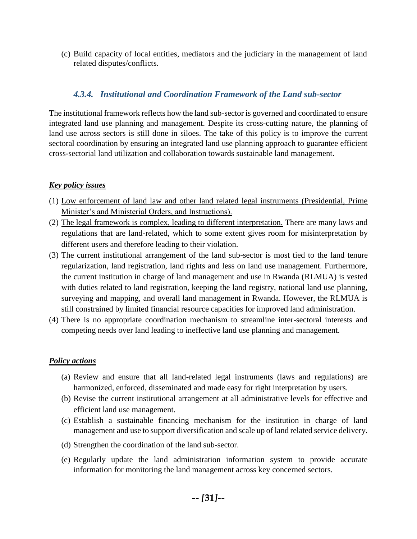(c) Build capacity of local entities, mediators and the judiciary in the management of land related disputes/conflicts.

#### <span id="page-37-0"></span>*4.3.4. Institutional and Coordination Framework of the Land sub-sector*

The institutional framework reflects how the land sub-sector is governed and coordinated to ensure integrated land use planning and management. Despite its cross-cutting nature, the planning of land use across sectors is still done in siloes. The take of this policy is to improve the current sectoral coordination by ensuring an integrated land use planning approach to guarantee efficient cross-sectorial land utilization and collaboration towards sustainable land management.

#### *Key policy issues*

- (1) Low enforcement of land law and other land related legal instruments (Presidential, Prime Minister's and Ministerial Orders, and Instructions).
- (2) The legal framework is complex, leading to different interpretation. There are many laws and regulations that are land-related, which to some extent gives room for misinterpretation by different users and therefore leading to their violation.
- (3) The current institutional arrangement of the land sub-sector is most tied to the land tenure regularization, land registration, land rights and less on land use management. Furthermore, the current institution in charge of land management and use in Rwanda (RLMUA) is vested with duties related to land registration, keeping the land registry, national land use planning, surveying and mapping, and overall land management in Rwanda. However, the RLMUA is still constrained by limited financial resource capacities for improved land administration.
- (4) There is no appropriate coordination mechanism to streamline inter-sectoral interests and competing needs over land leading to ineffective land use planning and management.

#### *Policy actions*

- (a) Review and ensure that all land-related legal instruments (laws and regulations) are harmonized, enforced, disseminated and made easy for right interpretation by users.
- (b) Revise the current institutional arrangement at all administrative levels for effective and efficient land use management.
- (c) Establish a sustainable financing mechanism for the institution in charge of land management and use to support diversification and scale up of land related service delivery.
- (d) Strengthen the coordination of the land sub-sector.
- (e) Regularly update the land administration information system to provide accurate information for monitoring the land management across key concerned sectors.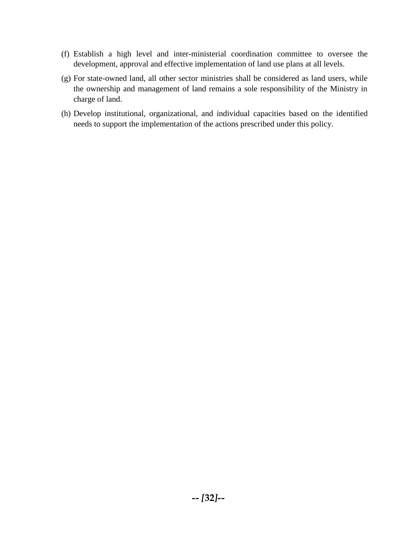- (f) Establish a high level and inter-ministerial coordination committee to oversee the development, approval and effective implementation of land use plans at all levels.
- (g) For state-owned land, all other sector ministries shall be considered as land users, while the ownership and management of land remains a sole responsibility of the Ministry in charge of land.
- (h) Develop institutional, organizational, and individual capacities based on the identified needs to support the implementation of the actions prescribed under this policy.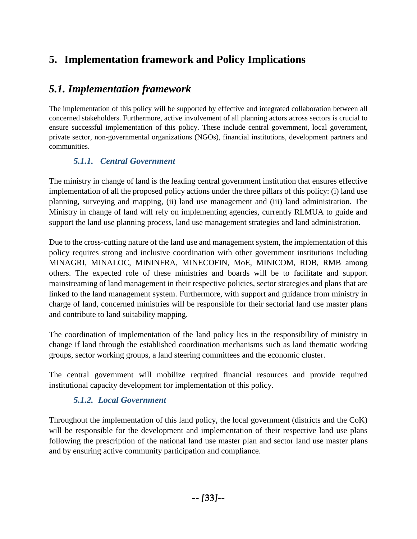## <span id="page-39-0"></span>**5. Implementation framework and Policy Implications**

## <span id="page-39-1"></span>*5.1. Implementation framework*

The implementation of this policy will be supported by effective and integrated collaboration between all concerned stakeholders. Furthermore, active involvement of all planning actors across sectors is crucial to ensure successful implementation of this policy. These include central government, local government, private sector, non-governmental organizations (NGOs), financial institutions, development partners and communities.

## <span id="page-39-2"></span>*5.1.1. Central Government*

The ministry in change of land is the leading central government institution that ensures effective implementation of all the proposed policy actions under the three pillars of this policy: (i) land use planning, surveying and mapping, (ii) land use management and (iii) land administration. The Ministry in change of land will rely on implementing agencies, currently RLMUA to guide and support the land use planning process, land use management strategies and land administration.

Due to the cross-cutting nature of the land use and management system, the implementation of this policy requires strong and inclusive coordination with other government institutions including MINAGRI, MINALOC, MININFRA, MINECOFIN, MoE, MINICOM, RDB, RMB among others. The expected role of these ministries and boards will be to facilitate and support mainstreaming of land management in their respective policies, sector strategies and plans that are linked to the land management system. Furthermore, with support and guidance from ministry in charge of land, concerned ministries will be responsible for their sectorial land use master plans and contribute to land suitability mapping.

The coordination of implementation of the land policy lies in the responsibility of ministry in change if land through the established coordination mechanisms such as land thematic working groups, sector working groups, a land steering committees and the economic cluster.

The central government will mobilize required financial resources and provide required institutional capacity development for implementation of this policy.

## *5.1.2. Local Government*

<span id="page-39-3"></span>Throughout the implementation of this land policy, the local government (districts and the CoK) will be responsible for the development and implementation of their respective land use plans following the prescription of the national land use master plan and sector land use master plans and by ensuring active community participation and compliance.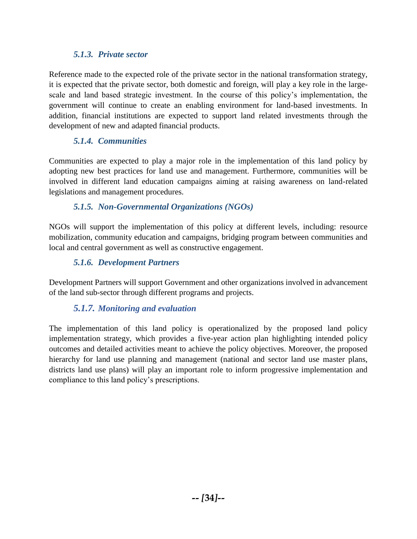### *5.1.3. Private sector*

<span id="page-40-0"></span>Reference made to the expected role of the private sector in the national transformation strategy, it is expected that the private sector, both domestic and foreign, will play a key role in the largescale and land based strategic investment. In the course of this policy's implementation, the government will continue to create an enabling environment for land-based investments. In addition, financial institutions are expected to support land related investments through the development of new and adapted financial products.

## *5.1.4. Communities*

<span id="page-40-1"></span>Communities are expected to play a major role in the implementation of this land policy by adopting new best practices for land use and management. Furthermore, communities will be involved in different land education campaigns aiming at raising awareness on land-related legislations and management procedures.

### *5.1.5. Non-Governmental Organizations (NGOs)*

<span id="page-40-2"></span>NGOs will support the implementation of this policy at different levels, including: resource mobilization, community education and campaigns, bridging program between communities and local and central government as well as constructive engagement.

## *5.1.6. Development Partners*

<span id="page-40-3"></span>Development Partners will support Government and other organizations involved in advancement of the land sub-sector through different programs and projects.

### *5.1.7. Monitoring and evaluation*

<span id="page-40-4"></span>The implementation of this land policy is operationalized by the proposed land policy implementation strategy, which provides a five-year action plan highlighting intended policy outcomes and detailed activities meant to achieve the policy objectives. Moreover, the proposed hierarchy for land use planning and management (national and sector land use master plans, districts land use plans) will play an important role to inform progressive implementation and compliance to this land policy's prescriptions.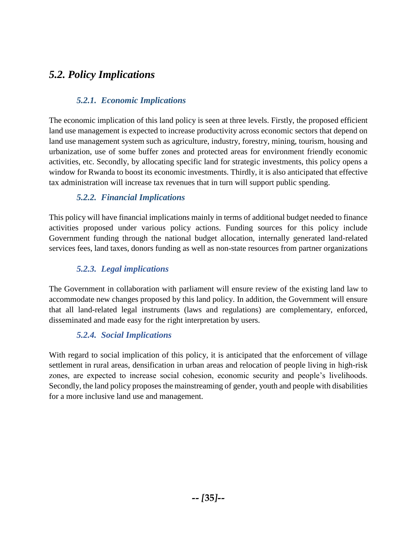## <span id="page-41-0"></span>*5.2. Policy Implications*

## *5.2.1. Economic Implications*

<span id="page-41-1"></span>The economic implication of this land policy is seen at three levels. Firstly, the proposed efficient land use management is expected to increase productivity across economic sectors that depend on land use management system such as agriculture, industry, forestry, mining, tourism, housing and urbanization, use of some buffer zones and protected areas for environment friendly economic activities, etc. Secondly, by allocating specific land for strategic investments, this policy opens a window for Rwanda to boost its economic investments. Thirdly, it is also anticipated that effective tax administration will increase tax revenues that in turn will support public spending.

## *5.2.2. Financial Implications*

<span id="page-41-2"></span>This policy will have financial implications mainly in terms of additional budget needed to finance activities proposed under various policy actions. Funding sources for this policy include Government funding through the national budget allocation, internally generated land-related services fees, land taxes, donors funding as well as non-state resources from partner organizations

## *5.2.3. Legal implications*

The Government in collaboration with parliament will ensure review of the existing land law to accommodate new changes proposed by this land policy. In addition, the Government will ensure that all land-related legal instruments (laws and regulations) are complementary, enforced, disseminated and made easy for the right interpretation by users.

## *5.2.4. Social Implications*

<span id="page-41-3"></span>With regard to social implication of this policy, it is anticipated that the enforcement of village settlement in rural areas, densification in urban areas and relocation of people living in high-risk zones, are expected to increase social cohesion, economic security and people's livelihoods. Secondly, the land policy proposes the mainstreaming of gender, youth and people with disabilities for a more inclusive land use and management.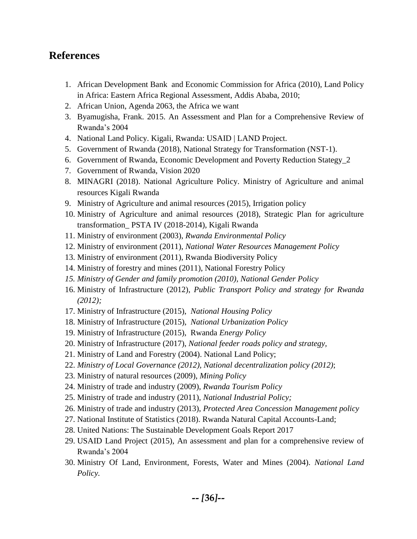## <span id="page-42-0"></span>**References**

- 1. African Development Bank and Economic Commission for Africa (2010), Land Policy in Africa: Eastern Africa Regional Assessment, Addis Ababa, 2010;
- 2. African Union, Agenda 2063, the Africa we want
- 3. Byamugisha, Frank. 2015. An Assessment and Plan for a Comprehensive Review of Rwanda's 2004
- 4. National Land Policy. Kigali, Rwanda: USAID | LAND Project.
- 5. Government of Rwanda (2018), National Strategy for Transformation (NST-1).
- 6. Government of Rwanda, Economic Development and Poverty Reduction Stategy\_2
- 7. Government of Rwanda, Vision 2020
- 8. MINAGRI (2018). National Agriculture Policy. Ministry of Agriculture and animal resources Kigali Rwanda
- 9. Ministry of Agriculture and animal resources (2015), Irrigation policy
- 10. Ministry of Agriculture and animal resources (2018), Strategic Plan for agriculture transformation\_ PSTA IV (2018-2014), Kigali Rwanda
- 11. Ministry of environment (2003), *Rwanda Environmental Policy*
- 12. Ministry of environment (2011), *National Water Resources Management Policy*
- 13. Ministry of environment (2011), Rwanda Biodiversity Policy
- 14. Ministry of forestry and mines (2011), National Forestry Policy
- *15. Ministry of Gender and family promotion (2010), National Gender Policy*
- 16. Ministry of Infrastructure (2012), *Public Transport Policy and strategy for Rwanda (2012);*
- 17. Ministry of Infrastructure (2015), *National Housing Policy*
- 18. Ministry of Infrastructure (2015), *National Urbanization Policy*
- 19. Ministry of Infrastructure (2015), Rwanda *Energy Policy*
- 20. Ministry of Infrastructure (2017), *National feeder roads policy and strategy,*
- 21. Ministry of Land and Forestry (2004). National Land Policy;
- 22. *Ministry of Local Governance (2012), National decentralization policy (2012)*;
- 23. Ministry of natural resources (2009), *Mining Policy*
- 24. Ministry of trade and industry (2009), *Rwanda Tourism Policy*
- 25. Ministry of trade and industry (2011), *National Industrial Policy;*
- 26. Ministry of trade and industry (2013), *Protected Area Concession Management policy*
- 27. National Institute of Statistics (2018). Rwanda Natural Capital Accounts-Land;
- 28. United Nations: The Sustainable Development Goals Report 2017
- 29. USAID Land Project (2015), An assessment and plan for a comprehensive review of Rwanda's 2004
- 30. Ministry Of Land, Environment, Forests, Water and Mines (2004). *National Land Policy.*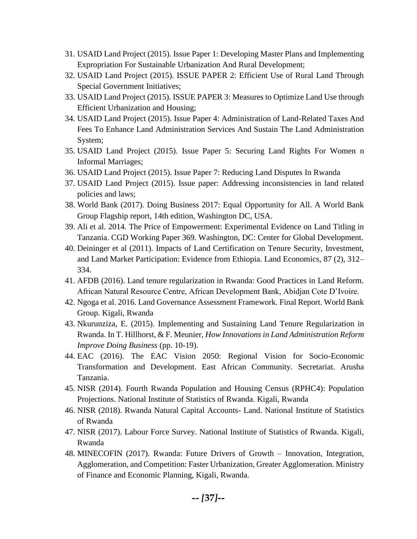- 31. USAID Land Project (2015). Issue Paper 1: Developing Master Plans and Implementing Expropriation For Sustainable Urbanization And Rural Development;
- 32. USAID Land Project (2015). ISSUE PAPER 2: Efficient Use of Rural Land Through Special Government Initiatives;
- 33. USAID Land Project (2015). ISSUE PAPER 3: Measures to Optimize Land Use through Efficient Urbanization and Housing;
- 34. USAID Land Project (2015). Issue Paper 4: Administration of Land-Related Taxes And Fees To Enhance Land Administration Services And Sustain The Land Administration System;
- 35. USAID Land Project (2015). Issue Paper 5: Securing Land Rights For Women n Informal Marriages;
- 36. USAID Land Project (2015). Issue Paper 7: Reducing Land Disputes In Rwanda
- 37. USAID Land Project (2015). Issue paper: Addressing inconsistencies in land related policies and laws;
- 38. World Bank (2017). Doing Business 2017: Equal Opportunity for All. A World Bank Group Flagship report, 14th edition, Washington DC, USA.
- 39. Ali et al. 2014. The Price of Empowerment: Experimental Evidence on Land Titling in Tanzania. CGD Working Paper 369. Washington, DC: Center for Global Development.
- 40. Deininger et al (2011). Impacts of Land Certification on Tenure Security, Investment, and Land Market Participation: Evidence from Ethiopia. Land Economics, 87 (2), 312– 334.
- 41. AFDB (2016). Land tenure regularization in Rwanda: Good Practices in Land Reform. African Natural Resource Centre, African Development Bank, Abidjan Cote D'Ivoire.
- 42. Ngoga et al. 2016. Land Governance Assessment Framework. Final Report. World Bank Group. Kigali, Rwanda
- 43. Nkurunziza, E. (2015). Implementing and Sustaining Land Tenure Regularization in Rwanda. In T. Hillhorst, & F. Meunier, *How Innovations in Land Administration Reform Improve Doing Business* (pp. 10-19).
- 44. EAC (2016). The EAC Vision 2050: Regional Vision for Socio-Economic Transformation and Development. East African Community. Secretariat. Arusha Tanzania.
- 45. NISR (2014). Fourth Rwanda Population and Housing Census (RPHC4): Population Projections. National Institute of Statistics of Rwanda. Kigali, Rwanda
- 46. NISR (2018). Rwanda Natural Capital Accounts- Land. National Institute of Statistics of Rwanda
- 47. NISR (2017). Labour Force Survey. National Institute of Statistics of Rwanda. Kigali, Rwanda
- 48. MINECOFIN (2017). Rwanda: Future Drivers of Growth Innovation, Integration, Agglomeration, and Competition: Faster Urbanization, Greater Agglomeration. Ministry of Finance and Economic Planning, Kigali, Rwanda.